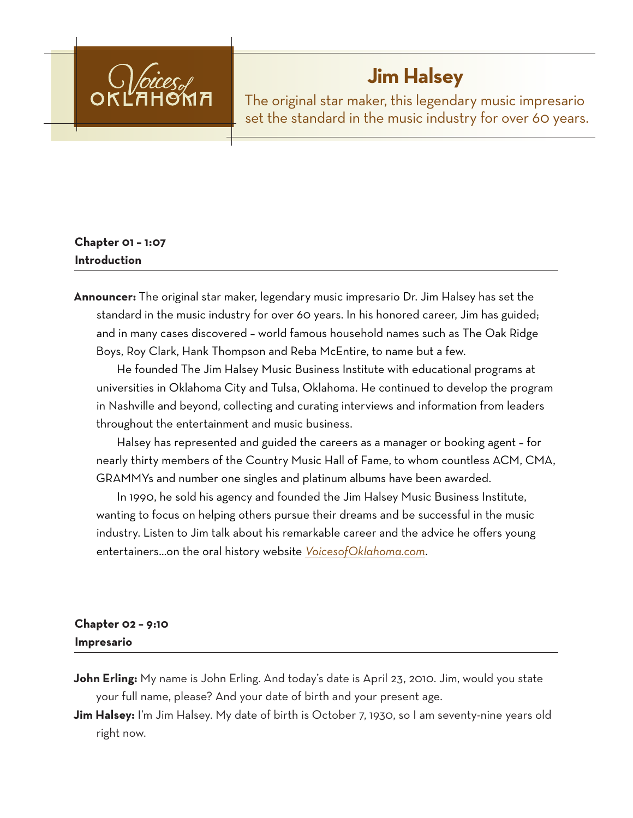

# **Jim Halsey**

The original star maker, this legendary music impresario set the standard in the music industry for over 60 years.

# **Chapter 01 – 1:07 Introduction**

**Announcer:** The original star maker, legendary music impresario Dr. Jim Halsey has set the standard in the music industry for over 60 years. In his honored career, Jim has guided; and in many cases discovered – world famous household names such as The Oak Ridge Boys, Roy Clark, Hank Thompson and Reba McEntire, to name but a few.

He founded The Jim Halsey Music Business Institute with educational programs at universities in Oklahoma City and Tulsa, Oklahoma. He continued to develop the program in Nashville and beyond, collecting and curating interviews and information from leaders throughout the entertainment and music business.

Halsey has represented and guided the careers as a manager or booking agent – for nearly thirty members of the Country Music Hall of Fame, to whom countless ACM, CMA, GRAMMYs and number one singles and platinum albums have been awarded.

In 1990, he sold his agency and founded the Jim Halsey Music Business Institute, wanting to focus on helping others pursue their dreams and be successful in the music industry. Listen to Jim talk about his remarkable career and the advice he offers young entertainers…on the oral history website *VoicesofOklahoma.com*.

# **Chapter 02 – 9:10 Impresario**

- **John Erling:** My name is John Erling. And today's date is April 23, 2010. Jim, would you state your full name, please? And your date of birth and your present age.
- **Jim Halsey:** I'm Jim Halsey. My date of birth is October 7, 1930, so I am seventy-nine years old right now.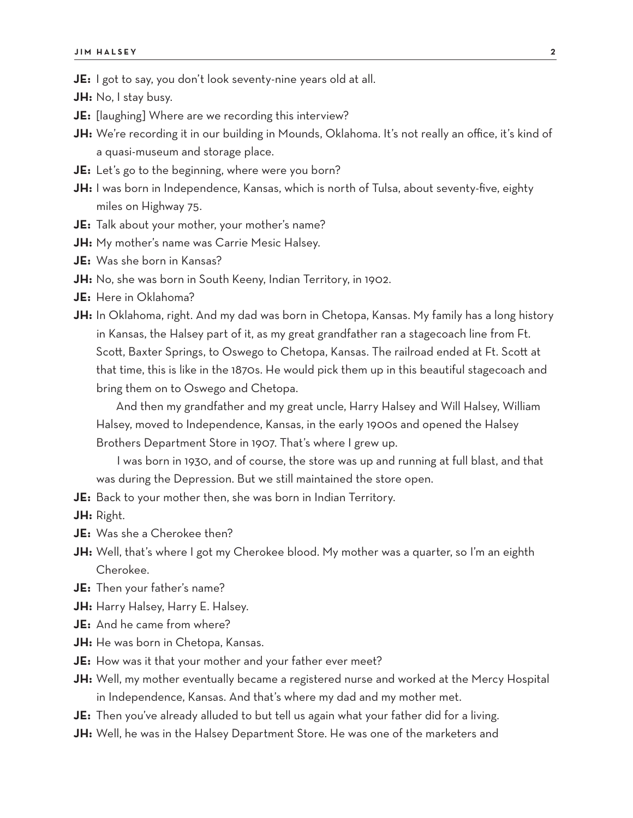**JE:** I got to say, you don't look seventy-nine years old at all.

**JH:** No, I stay busy.

- **JE:** [laughing] Where are we recording this interview?
- **JH:** We're recording it in our building in Mounds, Oklahoma. It's not really an office, it's kind of a quasi-museum and storage place.
- **JE:** Let's go to the beginning, where were you born?
- **JH:** I was born in Independence, Kansas, which is north of Tulsa, about seventy-five, eighty miles on Highway 75.
- **JE:** Talk about your mother, your mother's name?
- **JH:** My mother's name was Carrie Mesic Halsey.
- **JE:** Was she born in Kansas?
- **JH:** No, she was born in South Keeny, Indian Territory, in 1902.
- **JE:** Here in Oklahoma?
- **JH:** In Oklahoma, right. And my dad was born in Chetopa, Kansas. My family has a long history in Kansas, the Halsey part of it, as my great grandfather ran a stagecoach line from Ft. Scott, Baxter Springs, to Oswego to Chetopa, Kansas. The railroad ended at Ft. Scott at that time, this is like in the 1870s. He would pick them up in this beautiful stagecoach and bring them on to Oswego and Chetopa.

And then my grandfather and my great uncle, Harry Halsey and Will Halsey, William Halsey, moved to Independence, Kansas, in the early 1900s and opened the Halsey Brothers Department Store in 1907. That's where I grew up.

I was born in 1930, and of course, the store was up and running at full blast, and that was during the Depression. But we still maintained the store open.

**JE:** Back to your mother then, she was born in Indian Territory.

**JH:** Right.

- **JE:** Was she a Cherokee then?
- **JH:** Well, that's where I got my Cherokee blood. My mother was a quarter, so I'm an eighth Cherokee.
- **JE:** Then your father's name?
- **JH:** Harry Halsey, Harry E. Halsey.
- **JE:** And he came from where?
- **JH:** He was born in Chetopa, Kansas.
- **JE:** How was it that your mother and your father ever meet?
- **JH:** Well, my mother eventually became a registered nurse and worked at the Mercy Hospital in Independence, Kansas. And that's where my dad and my mother met.
- **JE:** Then you've already alluded to but tell us again what your father did for a living.
- **JH:** Well, he was in the Halsey Department Store. He was one of the marketers and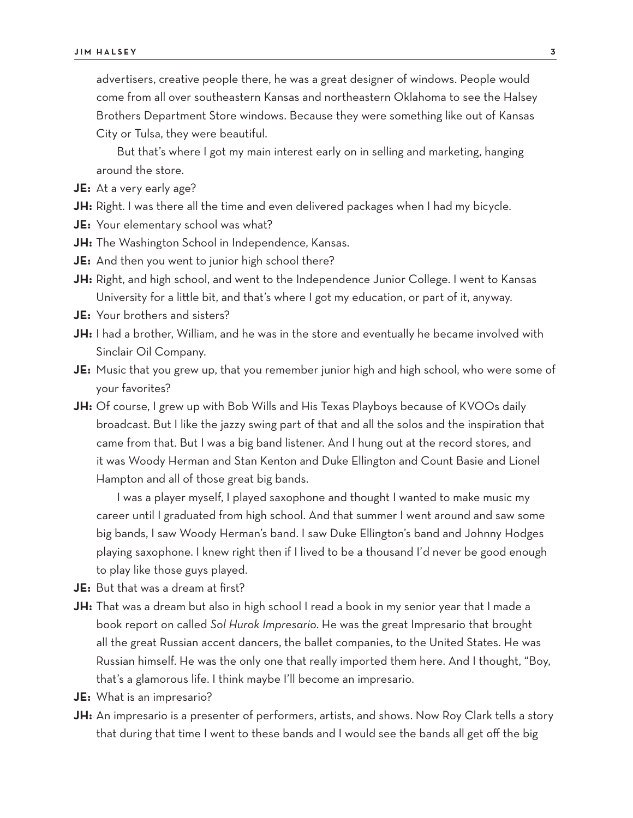advertisers, creative people there, he was a great designer of windows. People would come from all over southeastern Kansas and northeastern Oklahoma to see the Halsey Brothers Department Store windows. Because they were something like out of Kansas City or Tulsa, they were beautiful.

But that's where I got my main interest early on in selling and marketing, hanging around the store.

- **JE:** At a very early age?
- **JH:** Right. I was there all the time and even delivered packages when I had my bicycle.
- **JE:** Your elementary school was what?
- **JH:** The Washington School in Independence, Kansas.
- **JE:** And then you went to junior high school there?
- **JH:** Right, and high school, and went to the Independence Junior College. I went to Kansas University for a little bit, and that's where I got my education, or part of it, anyway.
- **JE:** Your brothers and sisters?
- **JH:** I had a brother, William, and he was in the store and eventually he became involved with Sinclair Oil Company.
- **JE:** Music that you grew up, that you remember junior high and high school, who were some of your favorites?
- **JH:** Of course, I grew up with Bob Wills and His Texas Playboys because of KVOOs daily broadcast. But I like the jazzy swing part of that and all the solos and the inspiration that came from that. But I was a big band listener. And I hung out at the record stores, and it was Woody Herman and Stan Kenton and Duke Ellington and Count Basie and Lionel Hampton and all of those great big bands.

I was a player myself, I played saxophone and thought I wanted to make music my career until I graduated from high school. And that summer I went around and saw some big bands, I saw Woody Herman's band. I saw Duke Ellington's band and Johnny Hodges playing saxophone. I knew right then if I lived to be a thousand I'd never be good enough to play like those guys played.

- **JE:** But that was a dream at first?
- **JH:** That was a dream but also in high school I read a book in my senior year that I made a book report on called *Sol Hurok Impresario*. He was the great Impresario that brought all the great Russian accent dancers, the ballet companies, to the United States. He was Russian himself. He was the only one that really imported them here. And I thought, "Boy, that's a glamorous life. I think maybe I'll become an impresario.
- **JE:** What is an impresario?
- **JH:** An impresario is a presenter of performers, artists, and shows. Now Roy Clark tells a story that during that time I went to these bands and I would see the bands all get off the big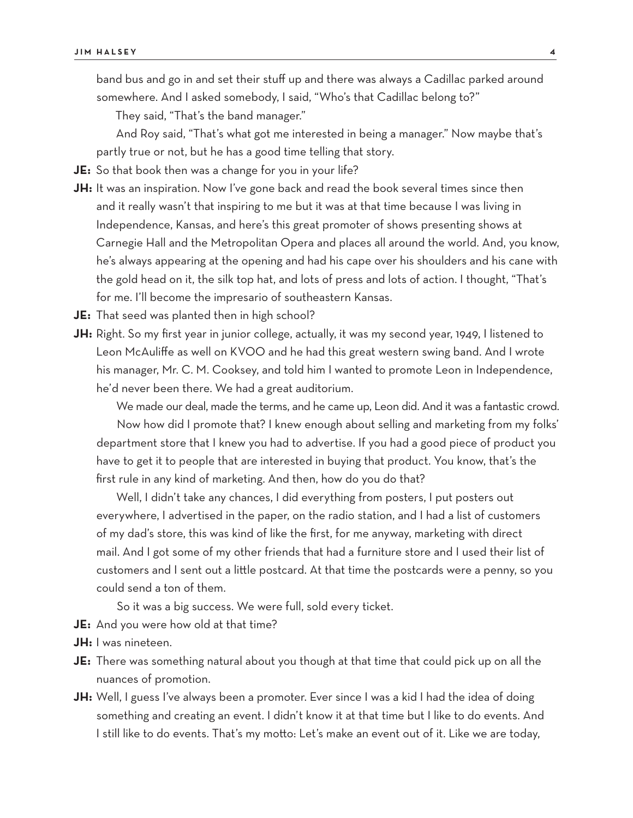band bus and go in and set their stuff up and there was always a Cadillac parked around somewhere. And I asked somebody, I said, "Who's that Cadillac belong to?"

They said, "That's the band manager."

And Roy said, "That's what got me interested in being a manager." Now maybe that's partly true or not, but he has a good time telling that story.

**JE:** So that book then was a change for you in your life?

**JH:** It was an inspiration. Now I've gone back and read the book several times since then and it really wasn't that inspiring to me but it was at that time because I was living in Independence, Kansas, and here's this great promoter of shows presenting shows at Carnegie Hall and the Metropolitan Opera and places all around the world. And, you know, he's always appearing at the opening and had his cape over his shoulders and his cane with the gold head on it, the silk top hat, and lots of press and lots of action. I thought, "That's for me. I'll become the impresario of southeastern Kansas.

**JE:** That seed was planted then in high school?

**JH:** Right. So my first year in junior college, actually, it was my second year, 1949, I listened to Leon McAuliffe as well on KVOO and he had this great western swing band. And I wrote his manager, Mr. C. M. Cooksey, and told him I wanted to promote Leon in Independence, he'd never been there. We had a great auditorium.

We made our deal, made the terms, and he came up, Leon did. And it was a fantastic crowd. Now how did I promote that? I knew enough about selling and marketing from my folks' department store that I knew you had to advertise. If you had a good piece of product you have to get it to people that are interested in buying that product. You know, that's the first rule in any kind of marketing. And then, how do you do that?

Well, I didn't take any chances, I did everything from posters, I put posters out everywhere, I advertised in the paper, on the radio station, and I had a list of customers of my dad's store, this was kind of like the first, for me anyway, marketing with direct mail. And I got some of my other friends that had a furniture store and I used their list of customers and I sent out a little postcard. At that time the postcards were a penny, so you could send a ton of them.

So it was a big success. We were full, sold every ticket.

- **JE:** And you were how old at that time?
- **JH:** I was nineteen.
- **JE:** There was something natural about you though at that time that could pick up on all the nuances of promotion.
- **JH:** Well, I guess I've always been a promoter. Ever since I was a kid I had the idea of doing something and creating an event. I didn't know it at that time but I like to do events. And I still like to do events. That's my motto: Let's make an event out of it. Like we are today,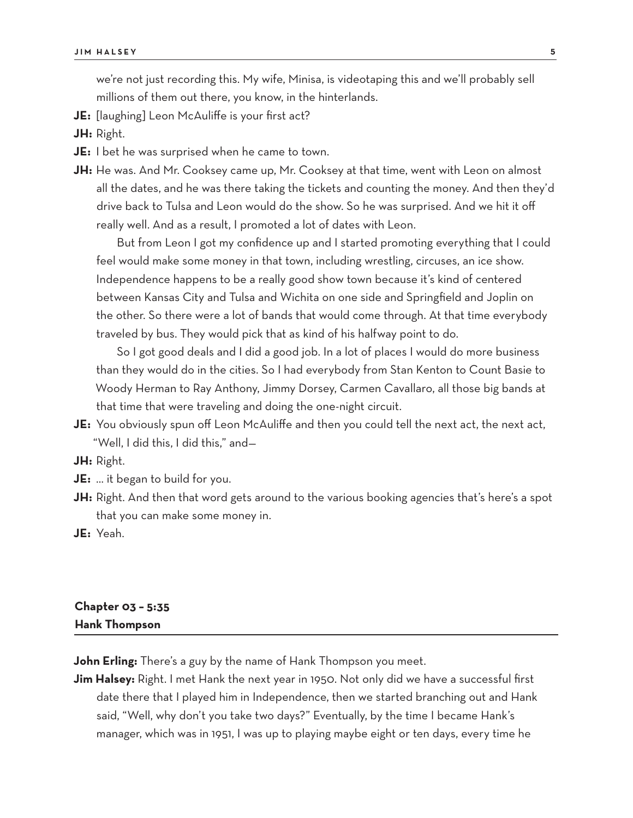we're not just recording this. My wife, Minisa, is videotaping this and we'll probably sell millions of them out there, you know, in the hinterlands.

- **JE:** [laughing] Leon McAuliffe is your first act?
- **JH:** Right.
- **JE:** I bet he was surprised when he came to town.
- **JH:** He was. And Mr. Cooksey came up, Mr. Cooksey at that time, went with Leon on almost all the dates, and he was there taking the tickets and counting the money. And then they'd drive back to Tulsa and Leon would do the show. So he was surprised. And we hit it off really well. And as a result, I promoted a lot of dates with Leon.

But from Leon I got my confidence up and I started promoting everything that I could feel would make some money in that town, including wrestling, circuses, an ice show. Independence happens to be a really good show town because it's kind of centered between Kansas City and Tulsa and Wichita on one side and Springfield and Joplin on the other. So there were a lot of bands that would come through. At that time everybody traveled by bus. They would pick that as kind of his halfway point to do.

So I got good deals and I did a good job. In a lot of places I would do more business than they would do in the cities. So I had everybody from Stan Kenton to Count Basie to Woody Herman to Ray Anthony, Jimmy Dorsey, Carmen Cavallaro, all those big bands at that time that were traveling and doing the one-night circuit.

- **JE:** You obviously spun off Leon McAuliffe and then you could tell the next act, the next act, "Well, I did this, I did this," and—
- **JH:** Right.
- **JE:** … it began to build for you.
- **JH:** Right. And then that word gets around to the various booking agencies that's here's a spot that you can make some money in.
- **JE:** Yeah.

#### **Chapter 03 – 5:35 Hank Thompson**

**John Erling:** There's a guy by the name of Hank Thompson you meet.

**Jim Halsey:** Right. I met Hank the next year in 1950. Not only did we have a successful first date there that I played him in Independence, then we started branching out and Hank said, "Well, why don't you take two days?" Eventually, by the time I became Hank's manager, which was in 1951, I was up to playing maybe eight or ten days, every time he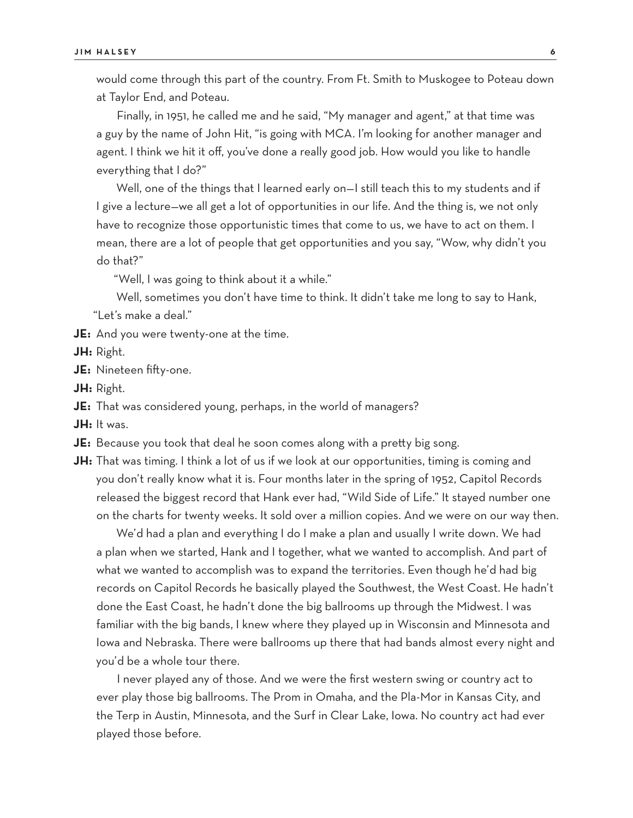would come through this part of the country. From Ft. Smith to Muskogee to Poteau down at Taylor End, and Poteau.

Finally, in 1951, he called me and he said, "My manager and agent," at that time was a guy by the name of John Hit, "is going with MCA. I'm looking for another manager and agent. I think we hit it off, you've done a really good job. How would you like to handle everything that I do?"

Well, one of the things that I learned early on—I still teach this to my students and if I give a lecture—we all get a lot of opportunities in our life. And the thing is, we not only have to recognize those opportunistic times that come to us, we have to act on them. I mean, there are a lot of people that get opportunities and you say, "Wow, why didn't you do that?"

"Well, I was going to think about it a while."

Well, sometimes you don't have time to think. It didn't take me long to say to Hank, "Let's make a deal."

**JE:** And you were twenty-one at the time.

**JH:** Right.

**JE:** Nineteen fifty-one.

**JH:** Right.

**JE:** That was considered young, perhaps, in the world of managers?

**JH:** It was.

**JE:** Because you took that deal he soon comes along with a pretty big song.

**JH:** That was timing. I think a lot of us if we look at our opportunities, timing is coming and you don't really know what it is. Four months later in the spring of 1952, Capitol Records released the biggest record that Hank ever had, "Wild Side of Life." It stayed number one on the charts for twenty weeks. It sold over a million copies. And we were on our way then.

We'd had a plan and everything I do I make a plan and usually I write down. We had a plan when we started, Hank and I together, what we wanted to accomplish. And part of what we wanted to accomplish was to expand the territories. Even though he'd had big records on Capitol Records he basically played the Southwest, the West Coast. He hadn't done the East Coast, he hadn't done the big ballrooms up through the Midwest. I was familiar with the big bands, I knew where they played up in Wisconsin and Minnesota and Iowa and Nebraska. There were ballrooms up there that had bands almost every night and you'd be a whole tour there.

I never played any of those. And we were the first western swing or country act to ever play those big ballrooms. The Prom in Omaha, and the Pla-Mor in Kansas City, and the Terp in Austin, Minnesota, and the Surf in Clear Lake, Iowa. No country act had ever played those before.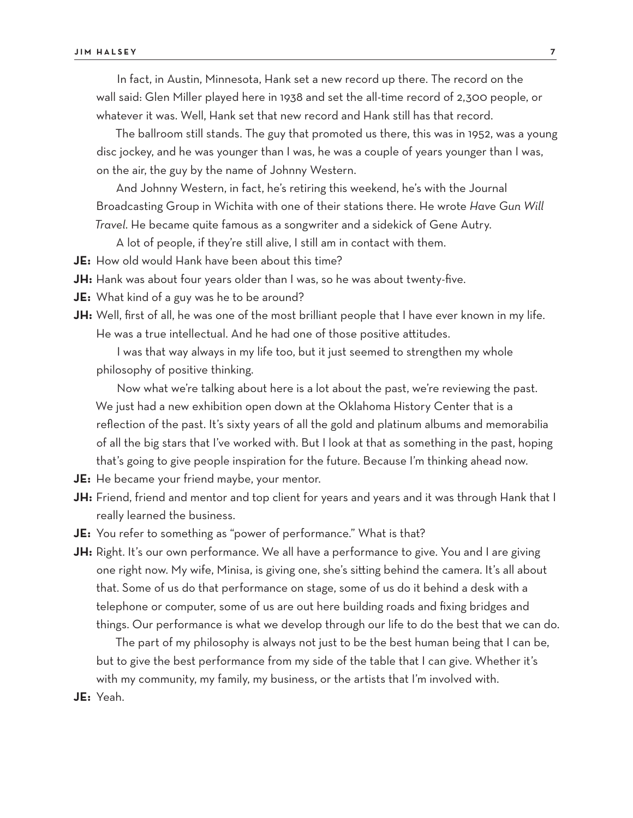In fact, in Austin, Minnesota, Hank set a new record up there. The record on the wall said: Glen Miller played here in 1938 and set the all-time record of 2,300 people, or whatever it was. Well, Hank set that new record and Hank still has that record.

The ballroom still stands. The guy that promoted us there, this was in 1952, was a young disc jockey, and he was younger than I was, he was a couple of years younger than I was, on the air, the guy by the name of Johnny Western.

And Johnny Western, in fact, he's retiring this weekend, he's with the Journal Broadcasting Group in Wichita with one of their stations there. He wrote *Have Gun Will Travel*. He became quite famous as a songwriter and a sidekick of Gene Autry.

A lot of people, if they're still alive, I still am in contact with them.

**JE:** How old would Hank have been about this time?

**JH:** Hank was about four years older than I was, so he was about twenty-five.

**JE:** What kind of a guy was he to be around?

JH: Well, first of all, he was one of the most brilliant people that I have ever known in my life. He was a true intellectual. And he had one of those positive attitudes.

I was that way always in my life too, but it just seemed to strengthen my whole philosophy of positive thinking.

Now what we're talking about here is a lot about the past, we're reviewing the past. We just had a new exhibition open down at the Oklahoma History Center that is a reflection of the past. It's sixty years of all the gold and platinum albums and memorabilia of all the big stars that I've worked with. But I look at that as something in the past, hoping that's going to give people inspiration for the future. Because I'm thinking ahead now.

- **JE:** He became your friend maybe, your mentor.
- **JH:** Friend, friend and mentor and top client for years and years and it was through Hank that I really learned the business.
- **JE:** You refer to something as "power of performance." What is that?
- **JH:** Right. It's our own performance. We all have a performance to give. You and I are giving one right now. My wife, Minisa, is giving one, she's sitting behind the camera. It's all about that. Some of us do that performance on stage, some of us do it behind a desk with a telephone or computer, some of us are out here building roads and fixing bridges and things. Our performance is what we develop through our life to do the best that we can do.

The part of my philosophy is always not just to be the best human being that I can be, but to give the best performance from my side of the table that I can give. Whether it's with my community, my family, my business, or the artists that I'm involved with.

**JE:** Yeah.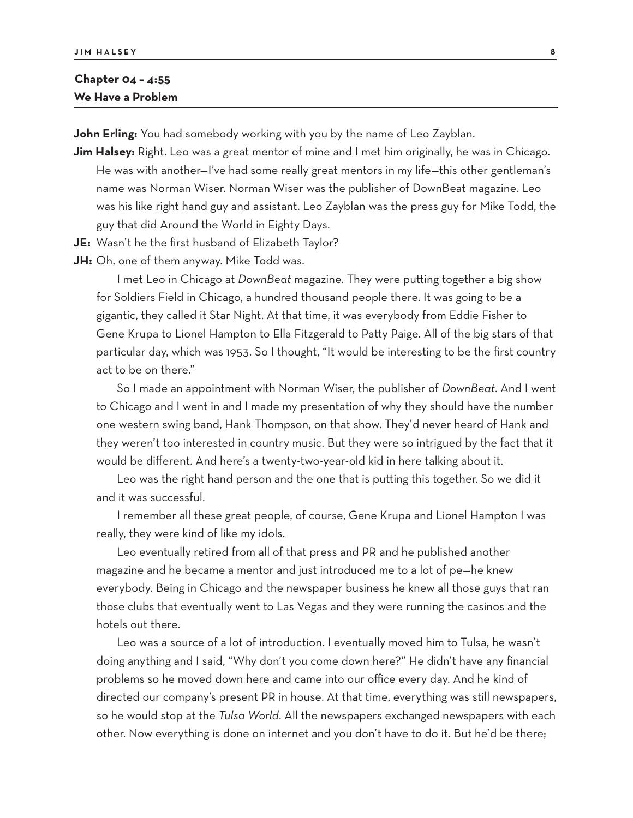#### **Chapter 04 – 4:55 We Have a Problem**

**John Erling:** You had somebody working with you by the name of Leo Zayblan.

- **Jim Halsey:** Right. Leo was a great mentor of mine and I met him originally, he was in Chicago. He was with another—I've had some really great mentors in my life—this other gentleman's name was Norman Wiser. Norman Wiser was the publisher of DownBeat magazine. Leo was his like right hand guy and assistant. Leo Zayblan was the press guy for Mike Todd, the guy that did Around the World in Eighty Days.
- **JE:** Wasn't he the first husband of Elizabeth Taylor?
- **JH:** Oh, one of them anyway. Mike Todd was.

I met Leo in Chicago at *DownBeat* magazine. They were putting together a big show for Soldiers Field in Chicago, a hundred thousand people there. It was going to be a gigantic, they called it Star Night. At that time, it was everybody from Eddie Fisher to Gene Krupa to Lionel Hampton to Ella Fitzgerald to Patty Paige. All of the big stars of that particular day, which was 1953. So I thought, "It would be interesting to be the first country act to be on there."

So I made an appointment with Norman Wiser, the publisher of *DownBeat*. And I went to Chicago and I went in and I made my presentation of why they should have the number one western swing band, Hank Thompson, on that show. They'd never heard of Hank and they weren't too interested in country music. But they were so intrigued by the fact that it would be different. And here's a twenty-two-year-old kid in here talking about it.

Leo was the right hand person and the one that is putting this together. So we did it and it was successful.

I remember all these great people, of course, Gene Krupa and Lionel Hampton I was really, they were kind of like my idols.

Leo eventually retired from all of that press and PR and he published another magazine and he became a mentor and just introduced me to a lot of pe—he knew everybody. Being in Chicago and the newspaper business he knew all those guys that ran those clubs that eventually went to Las Vegas and they were running the casinos and the hotels out there.

Leo was a source of a lot of introduction. I eventually moved him to Tulsa, he wasn't doing anything and I said, "Why don't you come down here?" He didn't have any financial problems so he moved down here and came into our office every day. And he kind of directed our company's present PR in house. At that time, everything was still newspapers, so he would stop at the *Tulsa World*. All the newspapers exchanged newspapers with each other. Now everything is done on internet and you don't have to do it. But he'd be there;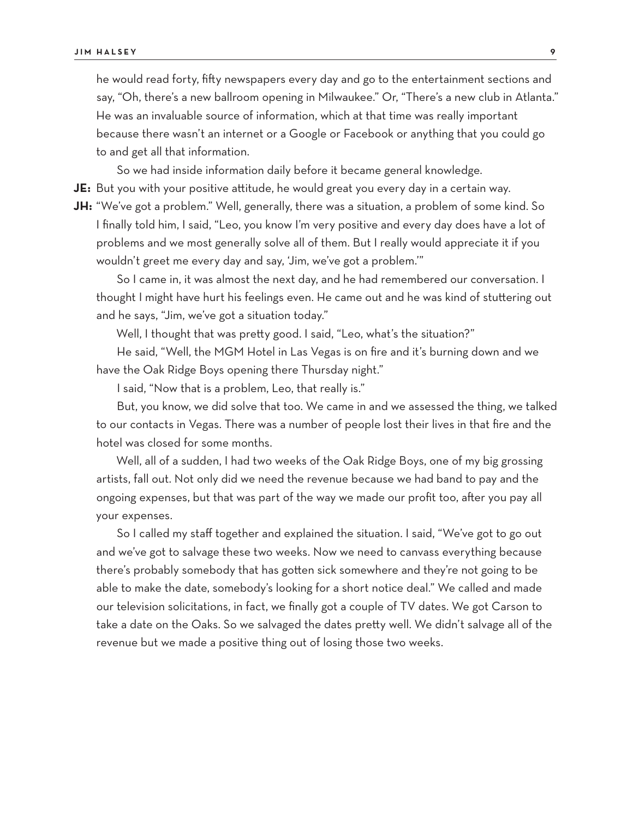he would read forty, fifty newspapers every day and go to the entertainment sections and say, "Oh, there's a new ballroom opening in Milwaukee." Or, "There's a new club in Atlanta." He was an invaluable source of information, which at that time was really important because there wasn't an internet or a Google or Facebook or anything that you could go to and get all that information.

So we had inside information daily before it became general knowledge. **JE:** But you with your positive attitude, he would great you every day in a certain way.

**JH:** "We've got a problem." Well, generally, there was a situation, a problem of some kind. So I finally told him, I said, "Leo, you know I'm very positive and every day does have a lot of

problems and we most generally solve all of them. But I really would appreciate it if you wouldn't greet me every day and say, 'Jim, we've got a problem.'"

So I came in, it was almost the next day, and he had remembered our conversation. I thought I might have hurt his feelings even. He came out and he was kind of stuttering out and he says, "Jim, we've got a situation today."

Well, I thought that was pretty good. I said, "Leo, what's the situation?"

He said, "Well, the MGM Hotel in Las Vegas is on fire and it's burning down and we have the Oak Ridge Boys opening there Thursday night."

I said, "Now that is a problem, Leo, that really is."

But, you know, we did solve that too. We came in and we assessed the thing, we talked to our contacts in Vegas. There was a number of people lost their lives in that fire and the hotel was closed for some months.

Well, all of a sudden, I had two weeks of the Oak Ridge Boys, one of my big grossing artists, fall out. Not only did we need the revenue because we had band to pay and the ongoing expenses, but that was part of the way we made our profit too, after you pay all your expenses.

So I called my staff together and explained the situation. I said, "We've got to go out and we've got to salvage these two weeks. Now we need to canvass everything because there's probably somebody that has gotten sick somewhere and they're not going to be able to make the date, somebody's looking for a short notice deal." We called and made our television solicitations, in fact, we finally got a couple of TV dates. We got Carson to take a date on the Oaks. So we salvaged the dates pretty well. We didn't salvage all of the revenue but we made a positive thing out of losing those two weeks.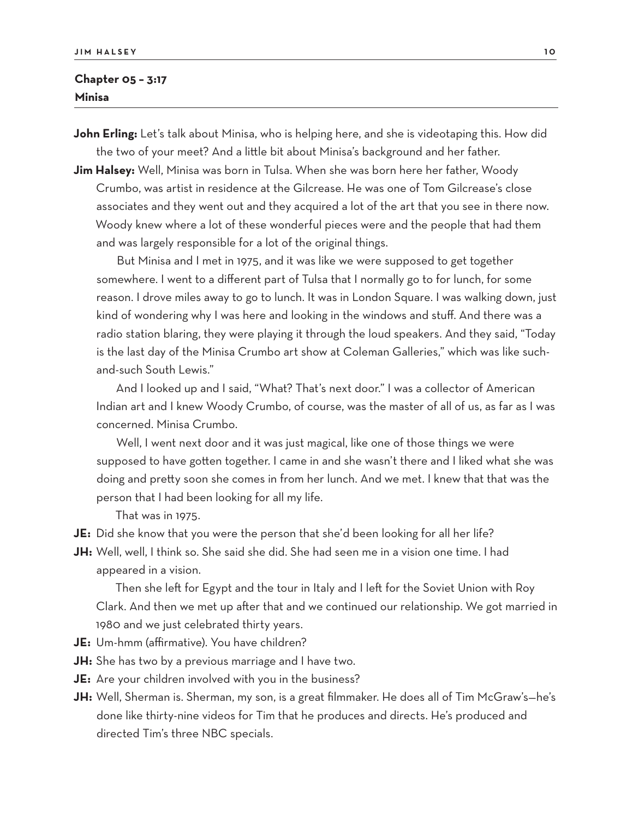#### **Chapter 05 – 3:17 Minisa**

**John Erling:** Let's talk about Minisa, who is helping here, and she is videotaping this. How did the two of your meet? And a little bit about Minisa's background and her father.

**Jim Halsey:** Well, Minisa was born in Tulsa. When she was born here her father, Woody Crumbo, was artist in residence at the Gilcrease. He was one of Tom Gilcrease's close associates and they went out and they acquired a lot of the art that you see in there now. Woody knew where a lot of these wonderful pieces were and the people that had them and was largely responsible for a lot of the original things.

But Minisa and I met in 1975, and it was like we were supposed to get together somewhere. I went to a different part of Tulsa that I normally go to for lunch, for some reason. I drove miles away to go to lunch. It was in London Square. I was walking down, just kind of wondering why I was here and looking in the windows and stuff. And there was a radio station blaring, they were playing it through the loud speakers. And they said, "Today is the last day of the Minisa Crumbo art show at Coleman Galleries," which was like suchand-such South Lewis."

And I looked up and I said, "What? That's next door." I was a collector of American Indian art and I knew Woody Crumbo, of course, was the master of all of us, as far as I was concerned. Minisa Crumbo.

Well, I went next door and it was just magical, like one of those things we were supposed to have gotten together. I came in and she wasn't there and I liked what she was doing and pretty soon she comes in from her lunch. And we met. I knew that that was the person that I had been looking for all my life.

That was in 1975.

- **JE:** Did she know that you were the person that she'd been looking for all her life?
- **JH:** Well, well, I think so. She said she did. She had seen me in a vision one time. I had appeared in a vision.

Then she left for Egypt and the tour in Italy and I left for the Soviet Union with Roy Clark. And then we met up after that and we continued our relationship. We got married in 1980 and we just celebrated thirty years.

- **JE:** Um-hmm (affirmative). You have children?
- **JH:** She has two by a previous marriage and I have two.
- **JE:** Are your children involved with you in the business?
- **JH:** Well, Sherman is. Sherman, my son, is a great filmmaker. He does all of Tim McGraw's—he's done like thirty-nine videos for Tim that he produces and directs. He's produced and directed Tim's three NBC specials.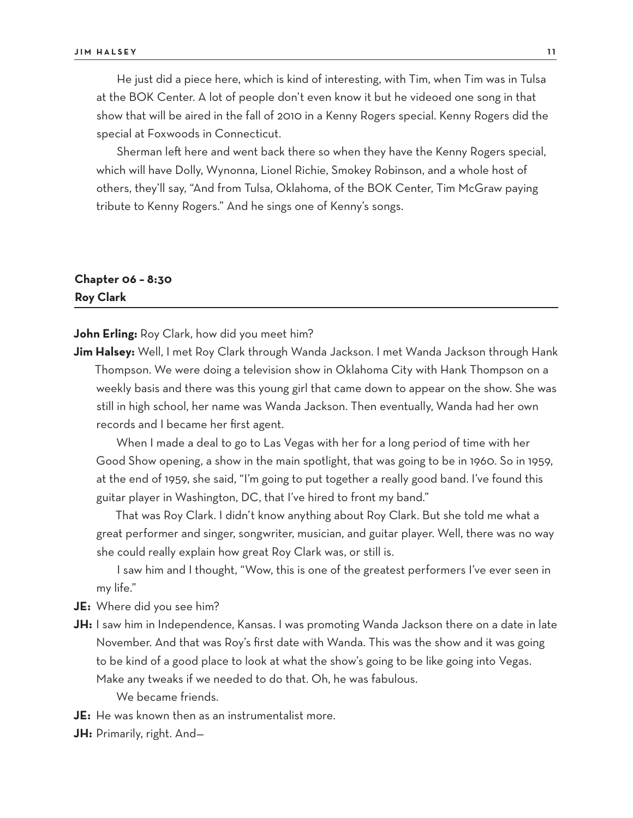He just did a piece here, which is kind of interesting, with Tim, when Tim was in Tulsa at the BOK Center. A lot of people don't even know it but he videoed one song in that show that will be aired in the fall of 2010 in a Kenny Rogers special. Kenny Rogers did the special at Foxwoods in Connecticut.

Sherman left here and went back there so when they have the Kenny Rogers special, which will have Dolly, Wynonna, Lionel Richie, Smokey Robinson, and a whole host of others, they'll say, "And from Tulsa, Oklahoma, of the BOK Center, Tim McGraw paying tribute to Kenny Rogers." And he sings one of Kenny's songs.

# **Chapter 06 – 8:30 Roy Clark**

**John Erling:** Roy Clark, how did you meet him?

**Jim Halsey:** Well, I met Roy Clark through Wanda Jackson. I met Wanda Jackson through Hank Thompson. We were doing a television show in Oklahoma City with Hank Thompson on a weekly basis and there was this young girl that came down to appear on the show. She was still in high school, her name was Wanda Jackson. Then eventually, Wanda had her own records and I became her first agent.

When I made a deal to go to Las Vegas with her for a long period of time with her Good Show opening, a show in the main spotlight, that was going to be in 1960. So in 1959, at the end of 1959, she said, "I'm going to put together a really good band. I've found this guitar player in Washington, DC, that I've hired to front my band."

That was Roy Clark. I didn't know anything about Roy Clark. But she told me what a great performer and singer, songwriter, musician, and guitar player. Well, there was no way she could really explain how great Roy Clark was, or still is.

I saw him and I thought, "Wow, this is one of the greatest performers I've ever seen in my life."

**JE:** Where did you see him?

- **JH:** I saw him in Independence, Kansas. I was promoting Wanda Jackson there on a date in late November. And that was Roy's first date with Wanda. This was the show and it was going to be kind of a good place to look at what the show's going to be like going into Vegas. Make any tweaks if we needed to do that. Oh, he was fabulous.
	- We became friends.
- **JE:** He was known then as an instrumentalist more.
- **JH:** Primarily, right. And—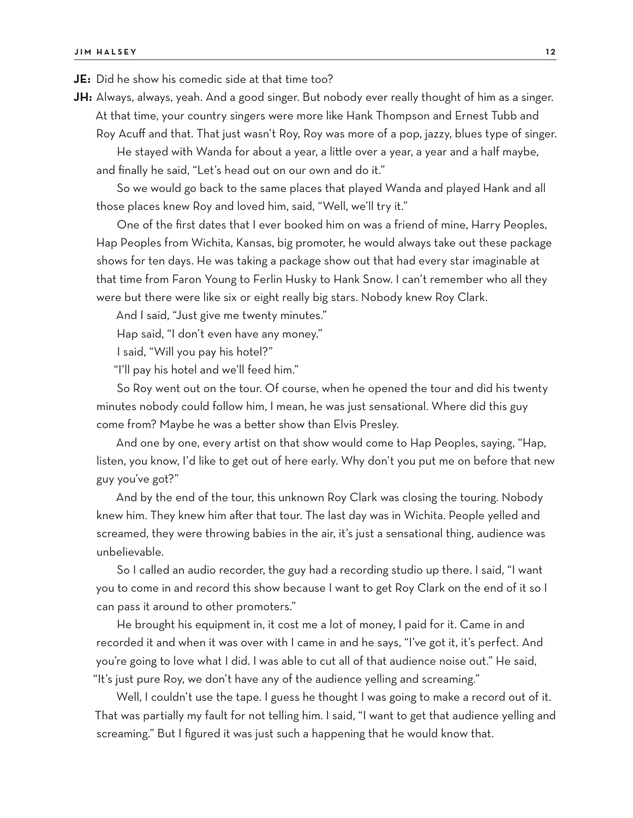**JE:** Did he show his comedic side at that time too?

**JH:** Always, always, yeah. And a good singer. But nobody ever really thought of him as a singer. At that time, your country singers were more like Hank Thompson and Ernest Tubb and

Roy Acuff and that. That just wasn't Roy, Roy was more of a pop, jazzy, blues type of singer. He stayed with Wanda for about a year, a little over a year, a year and a half maybe, and finally he said, "Let's head out on our own and do it."

So we would go back to the same places that played Wanda and played Hank and all those places knew Roy and loved him, said, "Well, we'll try it."

One of the first dates that I ever booked him on was a friend of mine, Harry Peoples, Hap Peoples from Wichita, Kansas, big promoter, he would always take out these package shows for ten days. He was taking a package show out that had every star imaginable at that time from Faron Young to Ferlin Husky to Hank Snow. I can't remember who all they were but there were like six or eight really big stars. Nobody knew Roy Clark.

And I said, "Just give me twenty minutes."

Hap said, "I don't even have any money."

I said, "Will you pay his hotel?"

"I'll pay his hotel and we'll feed him."

So Roy went out on the tour. Of course, when he opened the tour and did his twenty minutes nobody could follow him, I mean, he was just sensational. Where did this guy come from? Maybe he was a better show than Elvis Presley.

And one by one, every artist on that show would come to Hap Peoples, saying, "Hap, listen, you know, I'd like to get out of here early. Why don't you put me on before that new guy you've got?"

And by the end of the tour, this unknown Roy Clark was closing the touring. Nobody knew him. They knew him after that tour. The last day was in Wichita. People yelled and screamed, they were throwing babies in the air, it's just a sensational thing, audience was unbelievable.

So I called an audio recorder, the guy had a recording studio up there. I said, "I want you to come in and record this show because I want to get Roy Clark on the end of it so I can pass it around to other promoters."

He brought his equipment in, it cost me a lot of money, I paid for it. Came in and recorded it and when it was over with I came in and he says, "I've got it, it's perfect. And you're going to love what I did. I was able to cut all of that audience noise out." He said, "It's just pure Roy, we don't have any of the audience yelling and screaming."

Well, I couldn't use the tape. I guess he thought I was going to make a record out of it. That was partially my fault for not telling him. I said, "I want to get that audience yelling and screaming." But I figured it was just such a happening that he would know that.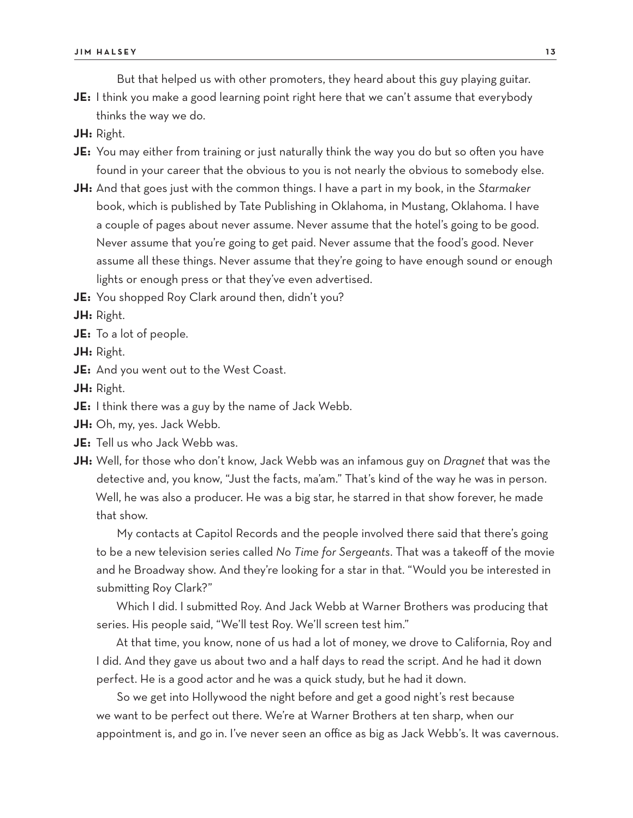But that helped us with other promoters, they heard about this guy playing guitar.

- **JE:** I think you make a good learning point right here that we can't assume that everybody thinks the way we do.
- **JH:** Right.
- **JE:** You may either from training or just naturally think the way you do but so often you have found in your career that the obvious to you is not nearly the obvious to somebody else.
- **JH:** And that goes just with the common things. I have a part in my book, in the *Starmaker* book, which is published by Tate Publishing in Oklahoma, in Mustang, Oklahoma. I have a couple of pages about never assume. Never assume that the hotel's going to be good. Never assume that you're going to get paid. Never assume that the food's good. Never assume all these things. Never assume that they're going to have enough sound or enough lights or enough press or that they've even advertised.
- **JE:** You shopped Roy Clark around then, didn't you?

**JH:** Right.

- **JE:** To a lot of people.
- **JH:** Right.
- **JE:** And you went out to the West Coast.

**JH:** Right.

- **JE:** I think there was a guy by the name of Jack Webb.
- **JH:** Oh, my, yes. Jack Webb.
- **JE:** Tell us who Jack Webb was.
- **JH:** Well, for those who don't know, Jack Webb was an infamous guy on *Dragnet* that was the detective and, you know, "Just the facts, ma'am." That's kind of the way he was in person. Well, he was also a producer. He was a big star, he starred in that show forever, he made that show.

My contacts at Capitol Records and the people involved there said that there's going to be a new television series called *No Time for Sergeants*. That was a takeoff of the movie and he Broadway show. And they're looking for a star in that. "Would you be interested in submitting Roy Clark?"

Which I did. I submitted Roy. And Jack Webb at Warner Brothers was producing that series. His people said, "We'll test Roy. We'll screen test him."

At that time, you know, none of us had a lot of money, we drove to California, Roy and I did. And they gave us about two and a half days to read the script. And he had it down perfect. He is a good actor and he was a quick study, but he had it down.

So we get into Hollywood the night before and get a good night's rest because we want to be perfect out there. We're at Warner Brothers at ten sharp, when our appointment is, and go in. I've never seen an office as big as Jack Webb's. It was cavernous.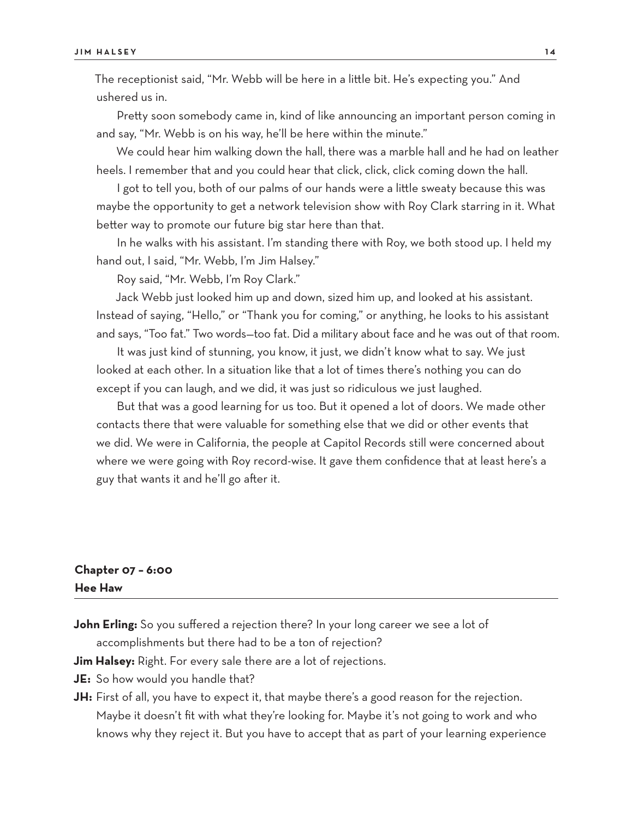The receptionist said, "Mr. Webb will be here in a little bit. He's expecting you." And ushered us in.

Pretty soon somebody came in, kind of like announcing an important person coming in and say, "Mr. Webb is on his way, he'll be here within the minute."

We could hear him walking down the hall, there was a marble hall and he had on leather heels. I remember that and you could hear that click, click, click coming down the hall.

I got to tell you, both of our palms of our hands were a little sweaty because this was maybe the opportunity to get a network television show with Roy Clark starring in it. What better way to promote our future big star here than that.

In he walks with his assistant. I'm standing there with Roy, we both stood up. I held my hand out, I said, "Mr. Webb, I'm Jim Halsey."

Roy said, "Mr. Webb, I'm Roy Clark."

Jack Webb just looked him up and down, sized him up, and looked at his assistant. Instead of saying, "Hello," or "Thank you for coming," or anything, he looks to his assistant and says, "Too fat." Two words—too fat. Did a military about face and he was out of that room.

It was just kind of stunning, you know, it just, we didn't know what to say. We just looked at each other. In a situation like that a lot of times there's nothing you can do except if you can laugh, and we did, it was just so ridiculous we just laughed.

But that was a good learning for us too. But it opened a lot of doors. We made other contacts there that were valuable for something else that we did or other events that we did. We were in California, the people at Capitol Records still were concerned about where we were going with Roy record-wise. It gave them confidence that at least here's a guy that wants it and he'll go after it.

#### **Chapter 07 – 6:00 Hee Haw**

John Erling: So you suffered a rejection there? In your long career we see a lot of accomplishments but there had to be a ton of rejection?

**Jim Halsey:** Right. For every sale there are a lot of rejections.

- **JE:** So how would you handle that?
- **JH:** First of all, you have to expect it, that maybe there's a good reason for the rejection. Maybe it doesn't fit with what they're looking for. Maybe it's not going to work and who knows why they reject it. But you have to accept that as part of your learning experience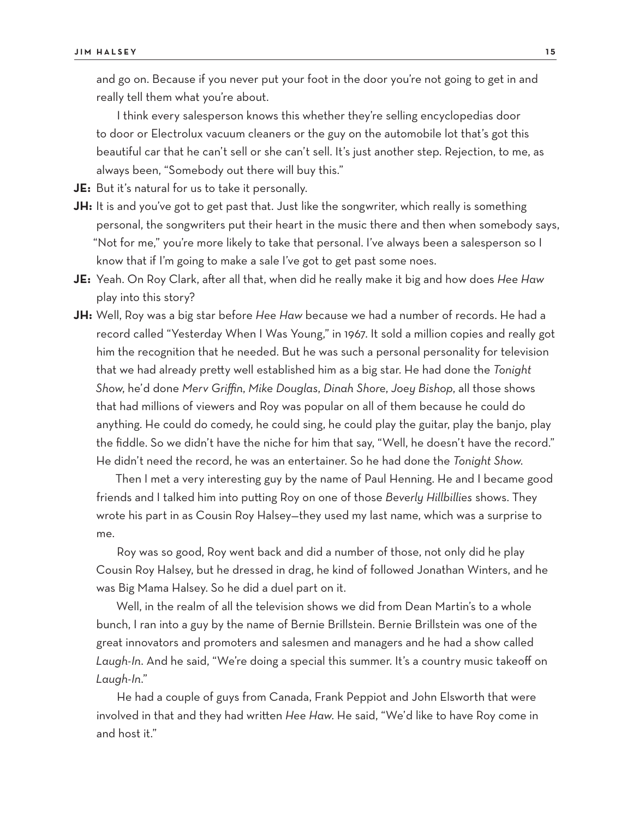and go on. Because if you never put your foot in the door you're not going to get in and really tell them what you're about.

I think every salesperson knows this whether they're selling encyclopedias door to door or Electrolux vacuum cleaners or the guy on the automobile lot that's got this beautiful car that he can't sell or she can't sell. It's just another step. Rejection, to me, as always been, "Somebody out there will buy this."

**JE:** But it's natural for us to take it personally.

- **JH:** It is and you've got to get past that. Just like the songwriter, which really is something personal, the songwriters put their heart in the music there and then when somebody says, "Not for me," you're more likely to take that personal. I've always been a salesperson so I know that if I'm going to make a sale I've got to get past some noes.
- **JE:** Yeah. On Roy Clark, after all that, when did he really make it big and how does *Hee Haw* play into this story?
- **JH:** Well, Roy was a big star before *Hee Haw* because we had a number of records. He had a record called "Yesterday When I Was Young," in 1967. It sold a million copies and really got him the recognition that he needed. But he was such a personal personality for television that we had already pretty well established him as a big star. He had done the *Tonight Show*, he'd done *Merv Griffin*, *Mike Douglas*, *Dinah Shore*, *Joey Bishop*, all those shows that had millions of viewers and Roy was popular on all of them because he could do anything. He could do comedy, he could sing, he could play the guitar, play the banjo, play the fiddle. So we didn't have the niche for him that say, "Well, he doesn't have the record." He didn't need the record, he was an entertainer. So he had done the *Tonight Show*.

Then I met a very interesting guy by the name of Paul Henning. He and I became good friends and I talked him into putting Roy on one of those *Beverly Hillbillies* shows. They wrote his part in as Cousin Roy Halsey—they used my last name, which was a surprise to me.

Roy was so good, Roy went back and did a number of those, not only did he play Cousin Roy Halsey, but he dressed in drag, he kind of followed Jonathan Winters, and he was Big Mama Halsey. So he did a duel part on it.

Well, in the realm of all the television shows we did from Dean Martin's to a whole bunch, I ran into a guy by the name of Bernie Brillstein. Bernie Brillstein was one of the great innovators and promoters and salesmen and managers and he had a show called *Laugh-In*. And he said, "We're doing a special this summer. It's a country music takeoff on *Laugh-In*."

He had a couple of guys from Canada, Frank Peppiot and John Elsworth that were involved in that and they had written *Hee Haw*. He said, "We'd like to have Roy come in and host it."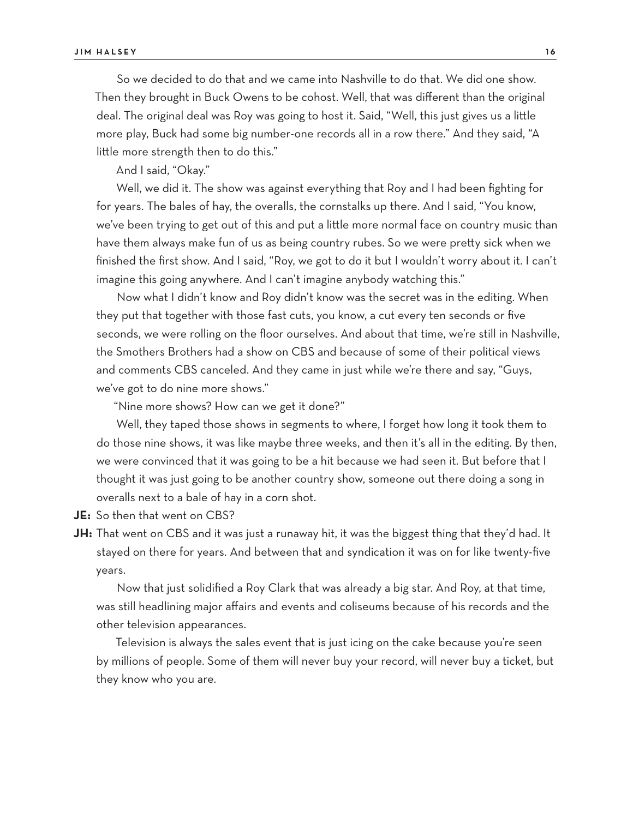So we decided to do that and we came into Nashville to do that. We did one show. Then they brought in Buck Owens to be cohost. Well, that was different than the original deal. The original deal was Roy was going to host it. Said, "Well, this just gives us a little more play, Buck had some big number-one records all in a row there." And they said, "A little more strength then to do this."

And I said, "Okay."

Well, we did it. The show was against everything that Roy and I had been fighting for for years. The bales of hay, the overalls, the cornstalks up there. And I said, "You know, we've been trying to get out of this and put a little more normal face on country music than have them always make fun of us as being country rubes. So we were pretty sick when we finished the first show. And I said, "Roy, we got to do it but I wouldn't worry about it. I can't imagine this going anywhere. And I can't imagine anybody watching this."

Now what I didn't know and Roy didn't know was the secret was in the editing. When they put that together with those fast cuts, you know, a cut every ten seconds or five seconds, we were rolling on the floor ourselves. And about that time, we're still in Nashville, the Smothers Brothers had a show on CBS and because of some of their political views and comments CBS canceled. And they came in just while we're there and say, "Guys, we've got to do nine more shows."

"Nine more shows? How can we get it done?"

Well, they taped those shows in segments to where, I forget how long it took them to do those nine shows, it was like maybe three weeks, and then it's all in the editing. By then, we were convinced that it was going to be a hit because we had seen it. But before that I thought it was just going to be another country show, someone out there doing a song in overalls next to a bale of hay in a corn shot.

**JE:** So then that went on CBS?

**JH:** That went on CBS and it was just a runaway hit, it was the biggest thing that they'd had. It stayed on there for years. And between that and syndication it was on for like twenty-five years.

Now that just solidified a Roy Clark that was already a big star. And Roy, at that time, was still headlining major affairs and events and coliseums because of his records and the other television appearances.

Television is always the sales event that is just icing on the cake because you're seen by millions of people. Some of them will never buy your record, will never buy a ticket, but they know who you are.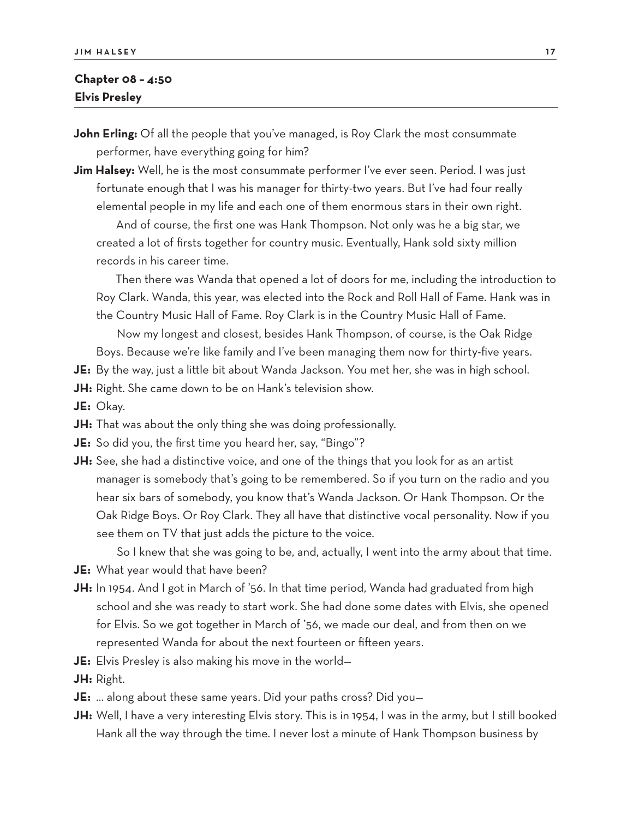#### **Chapter 08 – 4:50 Elvis Presley**

- **John Erling:** Of all the people that you've managed, is Roy Clark the most consummate performer, have everything going for him?
- **Jim Halsey:** Well, he is the most consummate performer I've ever seen. Period. I was just fortunate enough that I was his manager for thirty-two years. But I've had four really elemental people in my life and each one of them enormous stars in their own right.

And of course, the first one was Hank Thompson. Not only was he a big star, we created a lot of firsts together for country music. Eventually, Hank sold sixty million records in his career time.

Then there was Wanda that opened a lot of doors for me, including the introduction to Roy Clark. Wanda, this year, was elected into the Rock and Roll Hall of Fame. Hank was in the Country Music Hall of Fame. Roy Clark is in the Country Music Hall of Fame.

Now my longest and closest, besides Hank Thompson, of course, is the Oak Ridge Boys. Because we're like family and I've been managing them now for thirty-five years.

**JE:** By the way, just a little bit about Wanda Jackson. You met her, she was in high school.

- **JH:** Right. She came down to be on Hank's television show.
- **JE:** Okay.
- **JH:** That was about the only thing she was doing professionally.
- **JE:** So did you, the first time you heard her, say, "Bingo"?
- **JH:** See, she had a distinctive voice, and one of the things that you look for as an artist manager is somebody that's going to be remembered. So if you turn on the radio and you hear six bars of somebody, you know that's Wanda Jackson. Or Hank Thompson. Or the Oak Ridge Boys. Or Roy Clark. They all have that distinctive vocal personality. Now if you see them on TV that just adds the picture to the voice.

So I knew that she was going to be, and, actually, I went into the army about that time.

- **JE:** What year would that have been?
- **JH:** In 1954. And I got in March of '56. In that time period, Wanda had graduated from high school and she was ready to start work. She had done some dates with Elvis, she opened for Elvis. So we got together in March of '56, we made our deal, and from then on we represented Wanda for about the next fourteen or fifteen years.
- **JE:** Elvis Presley is also making his move in the world—
- **JH:** Right.
- **JE:** … along about these same years. Did your paths cross? Did you—
- **JH:** Well, I have a very interesting Elvis story. This is in 1954, I was in the army, but I still booked Hank all the way through the time. I never lost a minute of Hank Thompson business by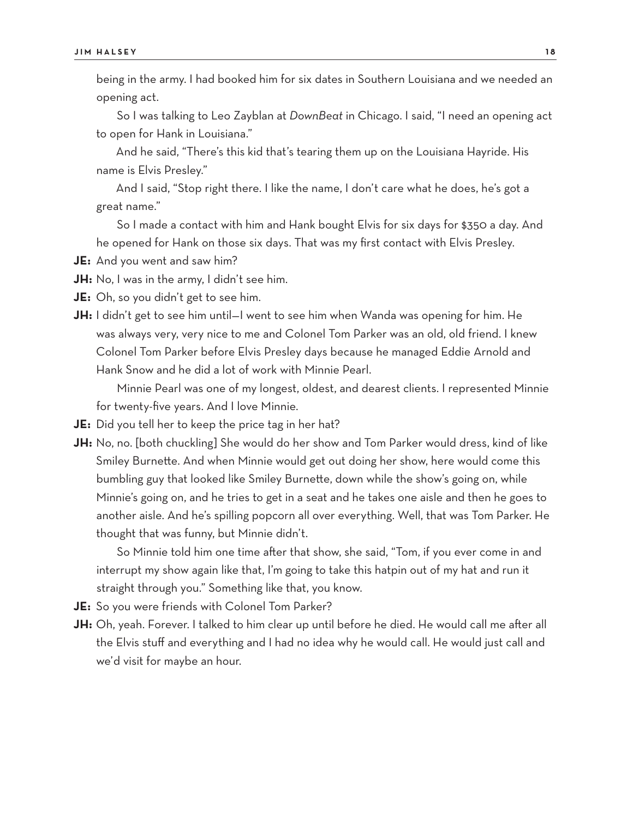being in the army. I had booked him for six dates in Southern Louisiana and we needed an opening act.

So I was talking to Leo Zayblan at *DownBeat* in Chicago. I said, "I need an opening act to open for Hank in Louisiana."

And he said, "There's this kid that's tearing them up on the Louisiana Hayride. His name is Elvis Presley."

And I said, "Stop right there. I like the name, I don't care what he does, he's got a great name."

So I made a contact with him and Hank bought Elvis for six days for \$350 a day. And he opened for Hank on those six days. That was my first contact with Elvis Presley.

**JE:** And you went and saw him?

**JH:** No, I was in the army, I didn't see him.

**JE:** Oh, so you didn't get to see him.

**JH:** I didn't get to see him until–I went to see him when Wanda was opening for him. He was always very, very nice to me and Colonel Tom Parker was an old, old friend. I knew Colonel Tom Parker before Elvis Presley days because he managed Eddie Arnold and Hank Snow and he did a lot of work with Minnie Pearl.

Minnie Pearl was one of my longest, oldest, and dearest clients. I represented Minnie for twenty-five years. And I love Minnie.

- **JE:** Did you tell her to keep the price tag in her hat?
- **JH:** No, no. [both chuckling] She would do her show and Tom Parker would dress, kind of like Smiley Burnette. And when Minnie would get out doing her show, here would come this bumbling guy that looked like Smiley Burnette, down while the show's going on, while Minnie's going on, and he tries to get in a seat and he takes one aisle and then he goes to another aisle. And he's spilling popcorn all over everything. Well, that was Tom Parker. He thought that was funny, but Minnie didn't.

So Minnie told him one time after that show, she said, "Tom, if you ever come in and interrupt my show again like that, I'm going to take this hatpin out of my hat and run it straight through you." Something like that, you know.

**JE:** So you were friends with Colonel Tom Parker?

**JH:** Oh, yeah. Forever. I talked to him clear up until before he died. He would call me after all the Elvis stuff and everything and I had no idea why he would call. He would just call and we'd visit for maybe an hour.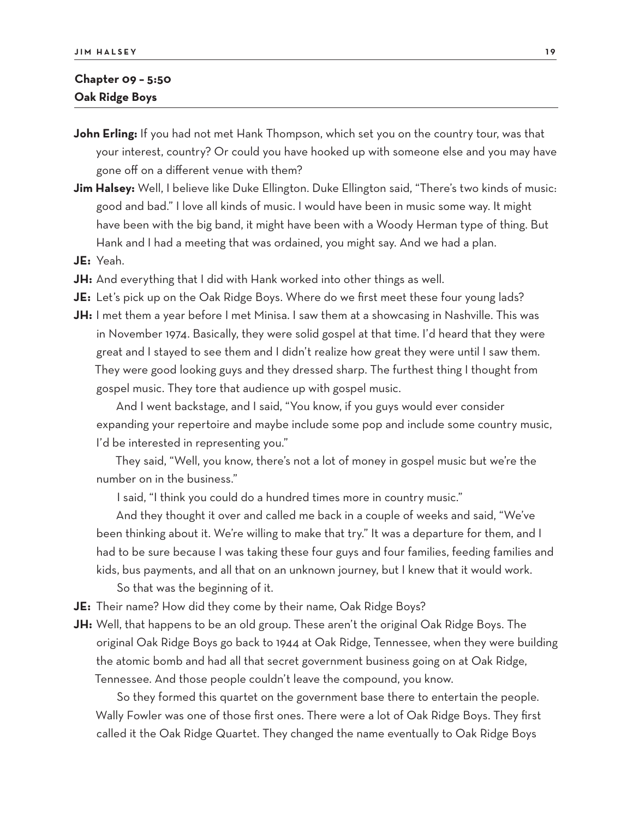#### **Chapter 09 – 5:50 Oak Ridge Boys**

- **John Erling:** If you had not met Hank Thompson, which set you on the country tour, was that your interest, country? Or could you have hooked up with someone else and you may have gone off on a different venue with them?
- **Jim Halsey:** Well, I believe like Duke Ellington. Duke Ellington said, "There's two kinds of music: good and bad." I love all kinds of music. I would have been in music some way. It might have been with the big band, it might have been with a Woody Herman type of thing. But Hank and I had a meeting that was ordained, you might say. And we had a plan.
- **JE:** Yeah.
- **JH:** And everything that I did with Hank worked into other things as well.
- **JE:** Let's pick up on the Oak Ridge Boys. Where do we first meet these four young lads?
- **JH:** I met them a year before I met Minisa. I saw them at a showcasing in Nashville. This was in November 1974. Basically, they were solid gospel at that time. I'd heard that they were great and I stayed to see them and I didn't realize how great they were until I saw them. They were good looking guys and they dressed sharp. The furthest thing I thought from gospel music. They tore that audience up with gospel music.

And I went backstage, and I said, "You know, if you guys would ever consider expanding your repertoire and maybe include some pop and include some country music, I'd be interested in representing you."

They said, "Well, you know, there's not a lot of money in gospel music but we're the number on in the business."

I said, "I think you could do a hundred times more in country music."

And they thought it over and called me back in a couple of weeks and said, "We've been thinking about it. We're willing to make that try." It was a departure for them, and I had to be sure because I was taking these four guys and four families, feeding families and kids, bus payments, and all that on an unknown journey, but I knew that it would work. So that was the beginning of it.

- **JE:** Their name? How did they come by their name, Oak Ridge Boys?
- **JH:** Well, that happens to be an old group. These aren't the original Oak Ridge Boys. The original Oak Ridge Boys go back to 1944 at Oak Ridge, Tennessee, when they were building the atomic bomb and had all that secret government business going on at Oak Ridge, Tennessee. And those people couldn't leave the compound, you know.

So they formed this quartet on the government base there to entertain the people. Wally Fowler was one of those first ones. There were a lot of Oak Ridge Boys. They first called it the Oak Ridge Quartet. They changed the name eventually to Oak Ridge Boys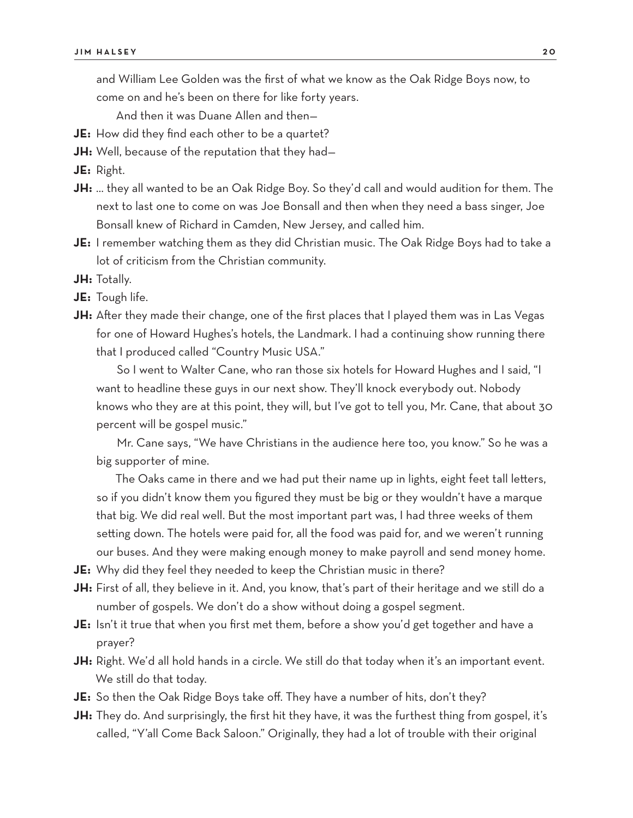and William Lee Golden was the first of what we know as the Oak Ridge Boys now, to come on and he's been on there for like forty years.

And then it was Duane Allen and then—

- **JE:** How did they find each other to be a quartet?
- **JH:** Well, because of the reputation that they had—

**JE:** Right.

- **JH:** … they all wanted to be an Oak Ridge Boy. So they'd call and would audition for them. The next to last one to come on was Joe Bonsall and then when they need a bass singer, Joe Bonsall knew of Richard in Camden, New Jersey, and called him.
- **JE:** I remember watching them as they did Christian music. The Oak Ridge Boys had to take a lot of criticism from the Christian community.
- **JH:** Totally.
- **JE:** Tough life.
- **JH:** After they made their change, one of the first places that I played them was in Las Vegas for one of Howard Hughes's hotels, the Landmark. I had a continuing show running there that I produced called "Country Music USA."

So I went to Walter Cane, who ran those six hotels for Howard Hughes and I said, "I want to headline these guys in our next show. They'll knock everybody out. Nobody knows who they are at this point, they will, but I've got to tell you, Mr. Cane, that about 30 percent will be gospel music."

Mr. Cane says, "We have Christians in the audience here too, you know." So he was a big supporter of mine.

The Oaks came in there and we had put their name up in lights, eight feet tall letters, so if you didn't know them you figured they must be big or they wouldn't have a marque that big. We did real well. But the most important part was, I had three weeks of them setting down. The hotels were paid for, all the food was paid for, and we weren't running our buses. And they were making enough money to make payroll and send money home.

- **JE:** Why did they feel they needed to keep the Christian music in there?
- **JH:** First of all, they believe in it. And, you know, that's part of their heritage and we still do a number of gospels. We don't do a show without doing a gospel segment.
- **JE:** Isn't it true that when you first met them, before a show you'd get together and have a prayer?
- JH: Right. We'd all hold hands in a circle. We still do that today when it's an important event. We still do that today.
- **JE:** So then the Oak Ridge Boys take off. They have a number of hits, don't they?
- **JH:** They do. And surprisingly, the first hit they have, it was the furthest thing from gospel, it's called, "Y'all Come Back Saloon." Originally, they had a lot of trouble with their original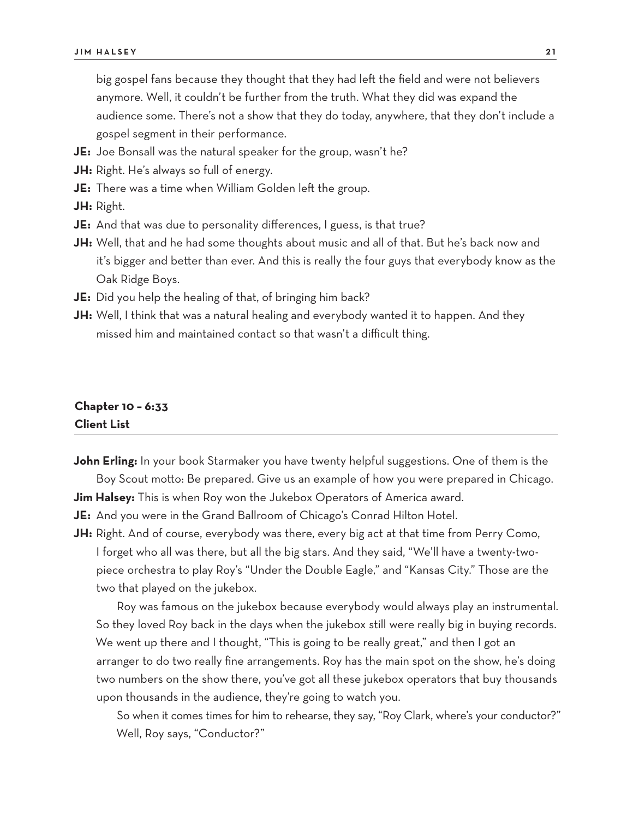big gospel fans because they thought that they had left the field and were not believers anymore. Well, it couldn't be further from the truth. What they did was expand the audience some. There's not a show that they do today, anywhere, that they don't include a gospel segment in their performance.

- **JE:** Joe Bonsall was the natural speaker for the group, wasn't he?
- **JH:** Right. He's always so full of energy.
- **JE:** There was a time when William Golden left the group.
- **JH:** Right.
- **JE:** And that was due to personality differences, I guess, is that true?
- **JH:** Well, that and he had some thoughts about music and all of that. But he's back now and it's bigger and better than ever. And this is really the four guys that everybody know as the Oak Ridge Boys.
- **JE:** Did you help the healing of that, of bringing him back?
- **JH:** Well, I think that was a natural healing and everybody wanted it to happen. And they missed him and maintained contact so that wasn't a difficult thing.

#### **Chapter 10 – 6:33 Client List**

**John Erling:** In your book Starmaker you have twenty helpful suggestions. One of them is the Boy Scout motto: Be prepared. Give us an example of how you were prepared in Chicago. **Jim Halsey:** This is when Roy won the Jukebox Operators of America award.

**JE:** And you were in the Grand Ballroom of Chicago's Conrad Hilton Hotel.

**JH:** Right. And of course, everybody was there, every big act at that time from Perry Como, I forget who all was there, but all the big stars. And they said, "We'll have a twenty-twopiece orchestra to play Roy's "Under the Double Eagle," and "Kansas City." Those are the two that played on the jukebox.

Roy was famous on the jukebox because everybody would always play an instrumental. So they loved Roy back in the days when the jukebox still were really big in buying records. We went up there and I thought, "This is going to be really great," and then I got an arranger to do two really fine arrangements. Roy has the main spot on the show, he's doing two numbers on the show there, you've got all these jukebox operators that buy thousands upon thousands in the audience, they're going to watch you.

So when it comes times for him to rehearse, they say, "Roy Clark, where's your conductor?" Well, Roy says, "Conductor?"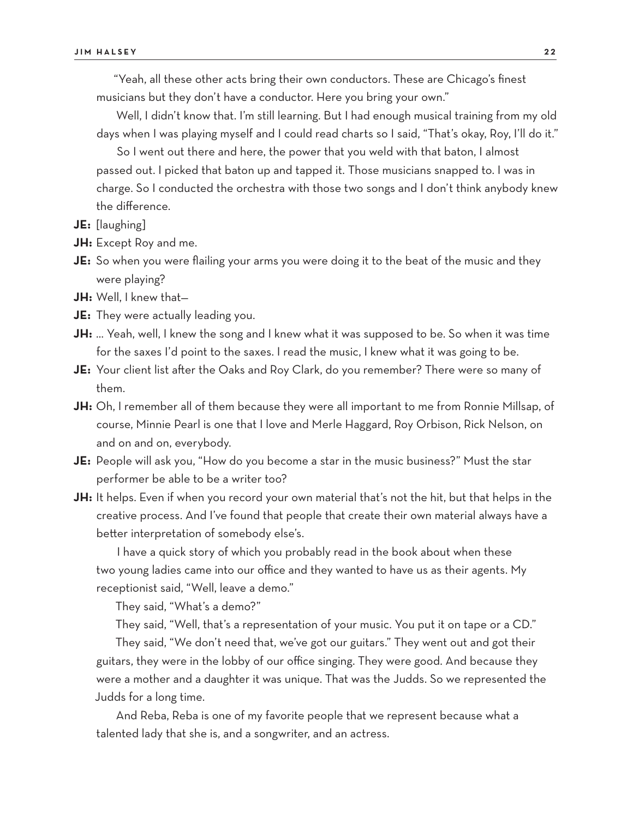"Yeah, all these other acts bring their own conductors. These are Chicago's finest musicians but they don't have a conductor. Here you bring your own."

Well, I didn't know that. I'm still learning. But I had enough musical training from my old days when I was playing myself and I could read charts so I said, "That's okay, Roy, I'll do it."

So I went out there and here, the power that you weld with that baton, I almost passed out. I picked that baton up and tapped it. Those musicians snapped to. I was in charge. So I conducted the orchestra with those two songs and I don't think anybody knew the difference.

- **JE:** [laughing]
- **JH:** Except Roy and me.
- **JE:** So when you were flailing your arms you were doing it to the beat of the music and they were playing?
- **JH:** Well, I knew that—
- **JE:** They were actually leading you.
- **JH:** … Yeah, well, I knew the song and I knew what it was supposed to be. So when it was time for the saxes I'd point to the saxes. I read the music, I knew what it was going to be.
- **JE:** Your client list after the Oaks and Roy Clark, do you remember? There were so many of them.
- **JH:** Oh, I remember all of them because they were all important to me from Ronnie Millsap, of course, Minnie Pearl is one that I love and Merle Haggard, Roy Orbison, Rick Nelson, on and on and on, everybody.
- **JE:** People will ask you, "How do you become a star in the music business?" Must the star performer be able to be a writer too?
- **JH:** It helps. Even if when you record your own material that's not the hit, but that helps in the creative process. And I've found that people that create their own material always have a better interpretation of somebody else's.

I have a quick story of which you probably read in the book about when these two young ladies came into our office and they wanted to have us as their agents. My receptionist said, "Well, leave a demo."

They said, "What's a demo?"

They said, "Well, that's a representation of your music. You put it on tape or a CD."

They said, "We don't need that, we've got our guitars." They went out and got their guitars, they were in the lobby of our office singing. They were good. And because they were a mother and a daughter it was unique. That was the Judds. So we represented the Judds for a long time.

And Reba, Reba is one of my favorite people that we represent because what a talented lady that she is, and a songwriter, and an actress.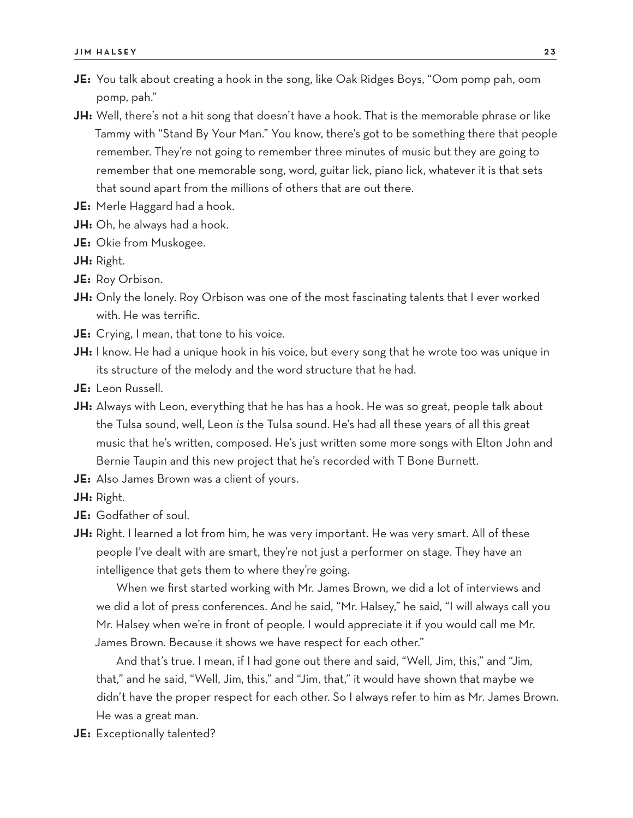- **JE:** You talk about creating a hook in the song, like Oak Ridges Boys, "Oom pomp pah, oom pomp, pah."
- **JH:** Well, there's not a hit song that doesn't have a hook. That is the memorable phrase or like Tammy with "Stand By Your Man." You know, there's got to be something there that people remember. They're not going to remember three minutes of music but they are going to remember that one memorable song, word, guitar lick, piano lick, whatever it is that sets that sound apart from the millions of others that are out there.
- **JE:** Merle Haggard had a hook.
- **JH:** Oh, he always had a hook.
- **JE:** Okie from Muskogee.
- **JH:** Right.
- **JE:** Roy Orbison.
- **JH:** Only the lonely. Roy Orbison was one of the most fascinating talents that I ever worked with. He was terrific.
- **JE:** Crying, I mean, that tone to his voice.
- **JH:** I know. He had a unique hook in his voice, but every song that he wrote too was unique in its structure of the melody and the word structure that he had.
- **JE:** Leon Russell.
- **JH:** Always with Leon, everything that he has has a hook. He was so great, people talk about the Tulsa sound, well, Leon *is* the Tulsa sound. He's had all these years of all this great music that he's written, composed. He's just written some more songs with Elton John and Bernie Taupin and this new project that he's recorded with T Bone Burnett.
- **JE:** Also James Brown was a client of yours.
- **JH:** Right.
- **JE:** Godfather of soul.
- **JH:** Right. I learned a lot from him, he was very important. He was very smart. All of these people I've dealt with are smart, they're not just a performer on stage. They have an intelligence that gets them to where they're going.

When we first started working with Mr. James Brown, we did a lot of interviews and we did a lot of press conferences. And he said, "Mr. Halsey," he said, "I will always call you Mr. Halsey when we're in front of people. I would appreciate it if you would call me Mr. James Brown. Because it shows we have respect for each other."

And that's true. I mean, if I had gone out there and said, "Well, Jim, this," and "Jim, that," and he said, "Well, Jim, this," and "Jim, that," it would have shown that maybe we didn't have the proper respect for each other. So I always refer to him as Mr. James Brown. He was a great man.

**JE:** Exceptionally talented?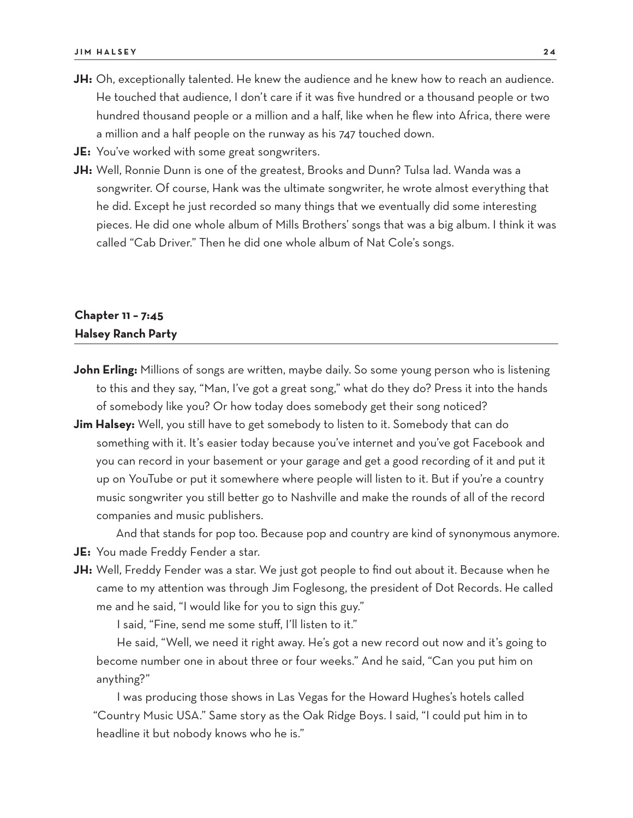- **JH:** Oh, exceptionally talented. He knew the audience and he knew how to reach an audience. He touched that audience, I don't care if it was five hundred or a thousand people or two hundred thousand people or a million and a half, like when he flew into Africa, there were a million and a half people on the runway as his 747 touched down.
- **JE:** You've worked with some great songwriters.
- **JH:** Well, Ronnie Dunn is one of the greatest, Brooks and Dunn? Tulsa lad. Wanda was a songwriter. Of course, Hank was the ultimate songwriter, he wrote almost everything that he did. Except he just recorded so many things that we eventually did some interesting pieces. He did one whole album of Mills Brothers' songs that was a big album. I think it was called "Cab Driver." Then he did one whole album of Nat Cole's songs.

## **Chapter 11 – 7:45 Halsey Ranch Party**

- **John Erling:** Millions of songs are written, maybe daily. So some young person who is listening to this and they say, "Man, I've got a great song," what do they do? Press it into the hands of somebody like you? Or how today does somebody get their song noticed?
- **Jim Halsey:** Well, you still have to get somebody to listen to it. Somebody that can do something with it. It's easier today because you've internet and you've got Facebook and you can record in your basement or your garage and get a good recording of it and put it up on YouTube or put it somewhere where people will listen to it. But if you're a country music songwriter you still better go to Nashville and make the rounds of all of the record companies and music publishers.

And that stands for pop too. Because pop and country are kind of synonymous anymore. **JE:** You made Freddy Fender a star.

**JH:** Well, Freddy Fender was a star. We just got people to find out about it. Because when he came to my attention was through Jim Foglesong, the president of Dot Records. He called me and he said, "I would like for you to sign this guy."

I said, "Fine, send me some stuff, I'll listen to it."

He said, "Well, we need it right away. He's got a new record out now and it's going to become number one in about three or four weeks." And he said, "Can you put him on anything?"

I was producing those shows in Las Vegas for the Howard Hughes's hotels called "Country Music USA." Same story as the Oak Ridge Boys. I said, "I could put him in to headline it but nobody knows who he is."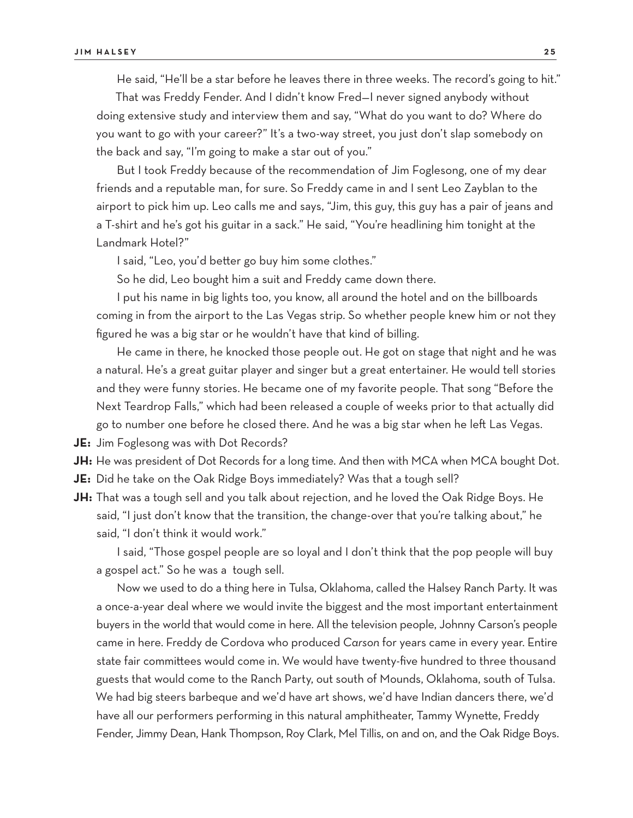He said, "He'll be a star before he leaves there in three weeks. The record's going to hit."

That was Freddy Fender. And I didn't know Fred—I never signed anybody without doing extensive study and interview them and say, "What do you want to do? Where do you want to go with your career?" It's a two-way street, you just don't slap somebody on the back and say, "I'm going to make a star out of you."

But I took Freddy because of the recommendation of Jim Foglesong, one of my dear friends and a reputable man, for sure. So Freddy came in and I sent Leo Zayblan to the airport to pick him up. Leo calls me and says, "Jim, this guy, this guy has a pair of jeans and a T-shirt and he's got his guitar in a sack." He said, "You're headlining him tonight at the Landmark Hotel?"

I said, "Leo, you'd better go buy him some clothes."

So he did, Leo bought him a suit and Freddy came down there.

I put his name in big lights too, you know, all around the hotel and on the billboards coming in from the airport to the Las Vegas strip. So whether people knew him or not they figured he was a big star or he wouldn't have that kind of billing.

He came in there, he knocked those people out. He got on stage that night and he was a natural. He's a great guitar player and singer but a great entertainer. He would tell stories and they were funny stories. He became one of my favorite people. That song "Before the Next Teardrop Falls," which had been released a couple of weeks prior to that actually did go to number one before he closed there. And he was a big star when he left Las Vegas.

**JE:** Jim Foglesong was with Dot Records?

**JH:** He was president of Dot Records for a long time. And then with MCA when MCA bought Dot.

**JE:** Did he take on the Oak Ridge Boys immediately? Was that a tough sell?

**JH:** That was a tough sell and you talk about rejection, and he loved the Oak Ridge Boys. He said, "I just don't know that the transition, the change-over that you're talking about," he said, "I don't think it would work."

I said, "Those gospel people are so loyal and I don't think that the pop people will buy a gospel act." So he was a tough sell.

Now we used to do a thing here in Tulsa, Oklahoma, called the Halsey Ranch Party. It was a once-a-year deal where we would invite the biggest and the most important entertainment buyers in the world that would come in here. All the television people, Johnny Carson's people came in here. Freddy de Cordova who produced *Carson* for years came in every year. Entire state fair committees would come in. We would have twenty-five hundred to three thousand guests that would come to the Ranch Party, out south of Mounds, Oklahoma, south of Tulsa. We had big steers barbeque and we'd have art shows, we'd have Indian dancers there, we'd have all our performers performing in this natural amphitheater, Tammy Wynette, Freddy Fender, Jimmy Dean, Hank Thompson, Roy Clark, Mel Tillis, on and on, and the Oak Ridge Boys.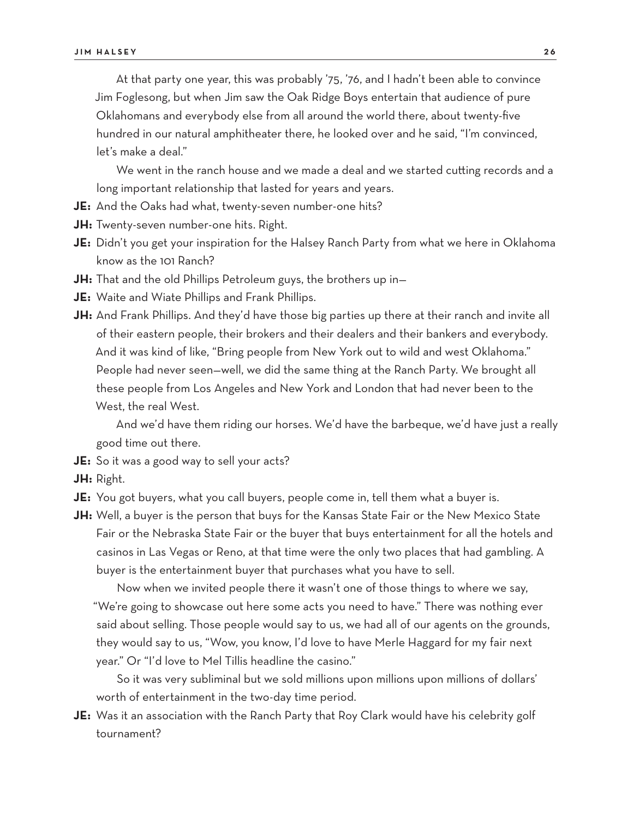At that party one year, this was probably '75, '76, and I hadn't been able to convince Jim Foglesong, but when Jim saw the Oak Ridge Boys entertain that audience of pure Oklahomans and everybody else from all around the world there, about twenty-five hundred in our natural amphitheater there, he looked over and he said, "I'm convinced, let's make a deal."

We went in the ranch house and we made a deal and we started cutting records and a long important relationship that lasted for years and years.

- **JE:** And the Oaks had what, twenty-seven number-one hits?
- **JH:** Twenty-seven number-one hits. Right.
- **JE:** Didn't you get your inspiration for the Halsey Ranch Party from what we here in Oklahoma know as the 101 Ranch?
- **JH:** That and the old Phillips Petroleum guys, the brothers up in—
- **JE:** Waite and Wiate Phillips and Frank Phillips.
- **JH:** And Frank Phillips. And they'd have those big parties up there at their ranch and invite all of their eastern people, their brokers and their dealers and their bankers and everybody. And it was kind of like, "Bring people from New York out to wild and west Oklahoma." People had never seen—well, we did the same thing at the Ranch Party. We brought all these people from Los Angeles and New York and London that had never been to the West, the real West.

And we'd have them riding our horses. We'd have the barbeque, we'd have just a really good time out there.

- **JE:** So it was a good way to sell your acts?
- **JH:** Right.
- **JE:** You got buyers, what you call buyers, people come in, tell them what a buyer is.
- **JH:** Well, a buyer is the person that buys for the Kansas State Fair or the New Mexico State Fair or the Nebraska State Fair or the buyer that buys entertainment for all the hotels and casinos in Las Vegas or Reno, at that time were the only two places that had gambling. A buyer is the entertainment buyer that purchases what you have to sell.

Now when we invited people there it wasn't one of those things to where we say, "We're going to showcase out here some acts you need to have." There was nothing ever said about selling. Those people would say to us, we had all of our agents on the grounds, they would say to us, "Wow, you know, I'd love to have Merle Haggard for my fair next year." Or "I'd love to Mel Tillis headline the casino."

So it was very subliminal but we sold millions upon millions upon millions of dollars' worth of entertainment in the two-day time period.

**JE:** Was it an association with the Ranch Party that Roy Clark would have his celebrity golf tournament?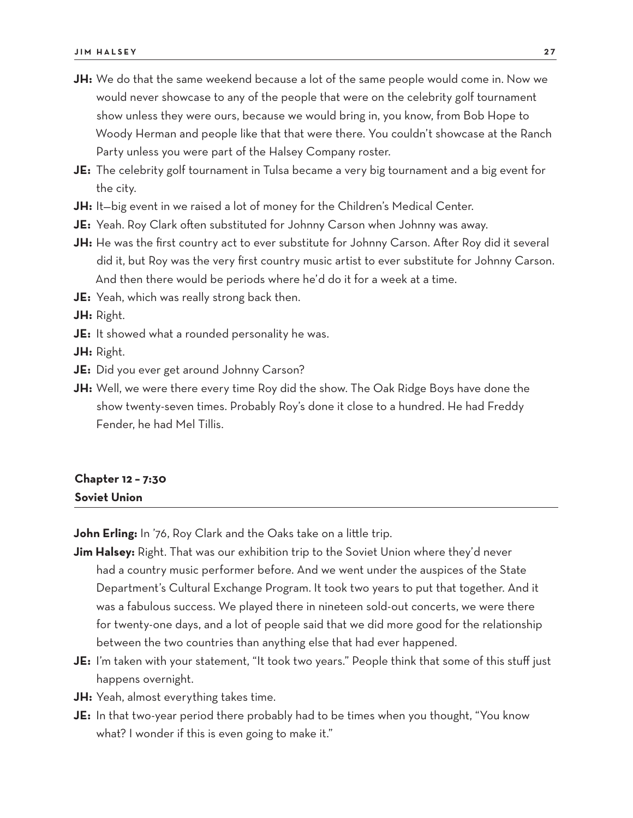- **JH:** We do that the same weekend because a lot of the same people would come in. Now we would never showcase to any of the people that were on the celebrity golf tournament show unless they were ours, because we would bring in, you know, from Bob Hope to Woody Herman and people like that that were there. You couldn't showcase at the Ranch Party unless you were part of the Halsey Company roster.
- **JE:** The celebrity golf tournament in Tulsa became a very big tournament and a big event for the city.
- **JH:** It—big event in we raised a lot of money for the Children's Medical Center.
- **JE:** Yeah. Roy Clark often substituted for Johnny Carson when Johnny was away.
- **JH:** He was the first country act to ever substitute for Johnny Carson. After Roy did it several did it, but Roy was the very first country music artist to ever substitute for Johnny Carson. And then there would be periods where he'd do it for a week at a time.

**JE:** Yeah, which was really strong back then.

**JH:** Right.

**JE:** It showed what a rounded personality he was.

**JH:** Right.

- **JE:** Did you ever get around Johnny Carson?
- **JH:** Well, we were there every time Roy did the show. The Oak Ridge Boys have done the show twenty-seven times. Probably Roy's done it close to a hundred. He had Freddy Fender, he had Mel Tillis.

#### **Chapter 12 – 7:30 Soviet Union**

**John Erling:** In '76, Roy Clark and the Oaks take on a little trip.

**Jim Halsey:** Right. That was our exhibition trip to the Soviet Union where they'd never had a country music performer before. And we went under the auspices of the State Department's Cultural Exchange Program. It took two years to put that together. And it was a fabulous success. We played there in nineteen sold-out concerts, we were there for twenty-one days, and a lot of people said that we did more good for the relationship between the two countries than anything else that had ever happened.

- **JE:** I'm taken with your statement, "It took two years." People think that some of this stuff just happens overnight.
- **JH:** Yeah, almost everything takes time.
- **JE:** In that two-year period there probably had to be times when you thought, "You know what? I wonder if this is even going to make it."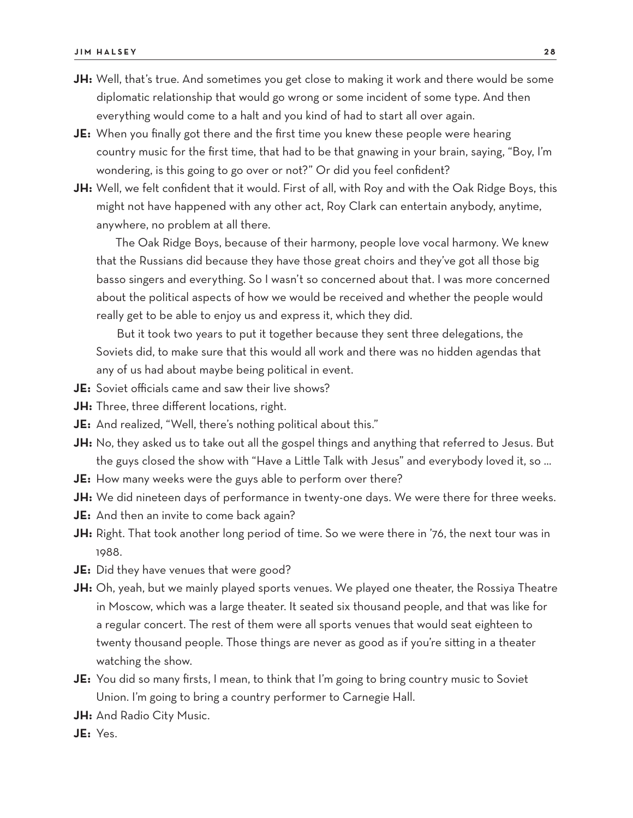- JH: Well, that's true. And sometimes you get close to making it work and there would be some diplomatic relationship that would go wrong or some incident of some type. And then everything would come to a halt and you kind of had to start all over again.
- **JE:** When you finally got there and the first time you knew these people were hearing country music for the first time, that had to be that gnawing in your brain, saying, "Boy, I'm wondering, is this going to go over or not?" Or did you feel confident?
- **JH:** Well, we felt confident that it would. First of all, with Roy and with the Oak Ridge Boys, this might not have happened with any other act, Roy Clark can entertain anybody, anytime, anywhere, no problem at all there.

The Oak Ridge Boys, because of their harmony, people love vocal harmony. We knew that the Russians did because they have those great choirs and they've got all those big basso singers and everything. So I wasn't so concerned about that. I was more concerned about the political aspects of how we would be received and whether the people would really get to be able to enjoy us and express it, which they did.

But it took two years to put it together because they sent three delegations, the Soviets did, to make sure that this would all work and there was no hidden agendas that any of us had about maybe being political in event.

- **JE:** Soviet officials came and saw their live shows?
- **JH:** Three, three different locations, right.
- **JE:** And realized, "Well, there's nothing political about this."
- **JH:** No, they asked us to take out all the gospel things and anything that referred to Jesus. But the guys closed the show with "Have a Little Talk with Jesus" and everybody loved it, so …
- **JE:** How many weeks were the guys able to perform over there?
- **JH:** We did nineteen days of performance in twenty-one days. We were there for three weeks.
- **JE:** And then an invite to come back again?
- **JH:** Right. That took another long period of time. So we were there in '76, the next tour was in 1988.
- **JE:** Did they have venues that were good?
- **JH:** Oh, yeah, but we mainly played sports venues. We played one theater, the Rossiya Theatre in Moscow, which was a large theater. It seated six thousand people, and that was like for a regular concert. The rest of them were all sports venues that would seat eighteen to twenty thousand people. Those things are never as good as if you're sitting in a theater watching the show.
- **JE:** You did so many firsts, I mean, to think that I'm going to bring country music to Soviet Union. I'm going to bring a country performer to Carnegie Hall.
- **JH:** And Radio City Music.
- **JE:** Yes.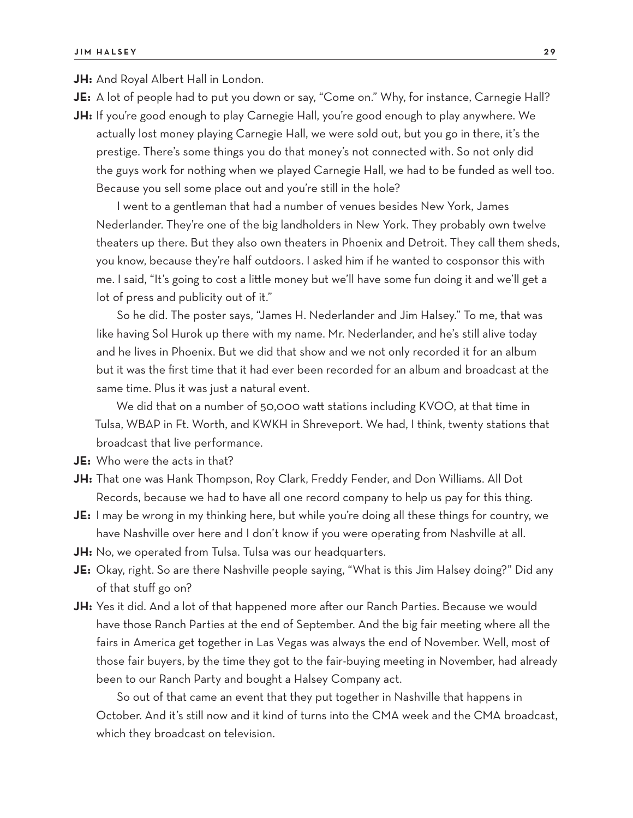**JH:** And Royal Albert Hall in London.

**JE:** A lot of people had to put you down or say, "Come on." Why, for instance, Carnegie Hall?

**JH:** If you're good enough to play Carnegie Hall, you're good enough to play anywhere. We actually lost money playing Carnegie Hall, we were sold out, but you go in there, it's the prestige. There's some things you do that money's not connected with. So not only did the guys work for nothing when we played Carnegie Hall, we had to be funded as well too. Because you sell some place out and you're still in the hole?

I went to a gentleman that had a number of venues besides New York, James Nederlander. They're one of the big landholders in New York. They probably own twelve theaters up there. But they also own theaters in Phoenix and Detroit. They call them sheds, you know, because they're half outdoors. I asked him if he wanted to cosponsor this with me. I said, "It's going to cost a little money but we'll have some fun doing it and we'll get a lot of press and publicity out of it."

So he did. The poster says, "James H. Nederlander and Jim Halsey." To me, that was like having Sol Hurok up there with my name. Mr. Nederlander, and he's still alive today and he lives in Phoenix. But we did that show and we not only recorded it for an album but it was the first time that it had ever been recorded for an album and broadcast at the same time. Plus it was just a natural event.

We did that on a number of 50,000 watt stations including KVOO, at that time in Tulsa, WBAP in Ft. Worth, and KWKH in Shreveport. We had, I think, twenty stations that broadcast that live performance.

- **JE:** Who were the acts in that?
- **JH:** That one was Hank Thompson, Roy Clark, Freddy Fender, and Don Williams. All Dot Records, because we had to have all one record company to help us pay for this thing.
- **JE:** I may be wrong in my thinking here, but while you're doing all these things for country, we have Nashville over here and I don't know if you were operating from Nashville at all.
- **JH:** No, we operated from Tulsa. Tulsa was our headquarters.
- **JE:** Okay, right. So are there Nashville people saying, "What is this Jim Halsey doing?" Did any of that stuff go on?
- **JH:** Yes it did. And a lot of that happened more after our Ranch Parties. Because we would have those Ranch Parties at the end of September. And the big fair meeting where all the fairs in America get together in Las Vegas was always the end of November. Well, most of those fair buyers, by the time they got to the fair-buying meeting in November, had already been to our Ranch Party and bought a Halsey Company act.

So out of that came an event that they put together in Nashville that happens in October. And it's still now and it kind of turns into the CMA week and the CMA broadcast, which they broadcast on television.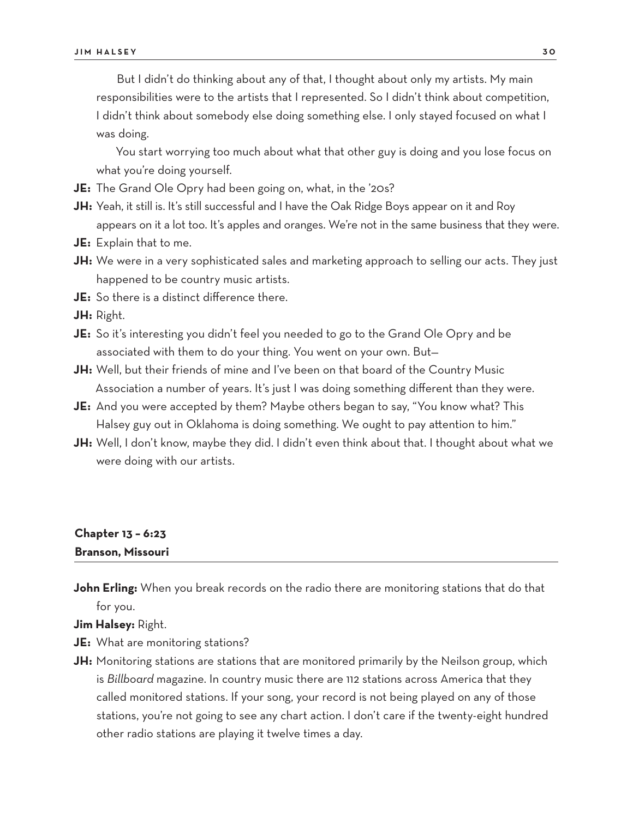But I didn't do thinking about any of that, I thought about only my artists. My main responsibilities were to the artists that I represented. So I didn't think about competition, I didn't think about somebody else doing something else. I only stayed focused on what I was doing.

You start worrying too much about what that other guy is doing and you lose focus on what you're doing yourself.

- **JE:** The Grand Ole Opry had been going on, what, in the '20s?
- **JH:** Yeah, it still is. It's still successful and I have the Oak Ridge Boys appear on it and Roy appears on it a lot too. It's apples and oranges. We're not in the same business that they were.
- **JE:** Explain that to me.
- **JH:** We were in a very sophisticated sales and marketing approach to selling our acts. They just happened to be country music artists.
- **JE:** So there is a distinct difference there.

**JH:** Right.

- **JE:** So it's interesting you didn't feel you needed to go to the Grand Ole Opry and be associated with them to do your thing. You went on your own. But—
- **JH:** Well, but their friends of mine and I've been on that board of the Country Music Association a number of years. It's just I was doing something different than they were.
- **JE:** And you were accepted by them? Maybe others began to say, "You know what? This Halsey guy out in Oklahoma is doing something. We ought to pay attention to him."
- **JH:** Well, I don't know, maybe they did. I didn't even think about that. I thought about what we were doing with our artists.

## **Chapter 13 – 6:23 Branson, Missouri**

**John Erling:** When you break records on the radio there are monitoring stations that do that for you.

**Jim Halsey:** Right.

- **JE:** What are monitoring stations?
- **JH:** Monitoring stations are stations that are monitored primarily by the Neilson group, which is *Billboard* magazine. In country music there are 112 stations across America that they called monitored stations. If your song, your record is not being played on any of those stations, you're not going to see any chart action. I don't care if the twenty-eight hundred other radio stations are playing it twelve times a day.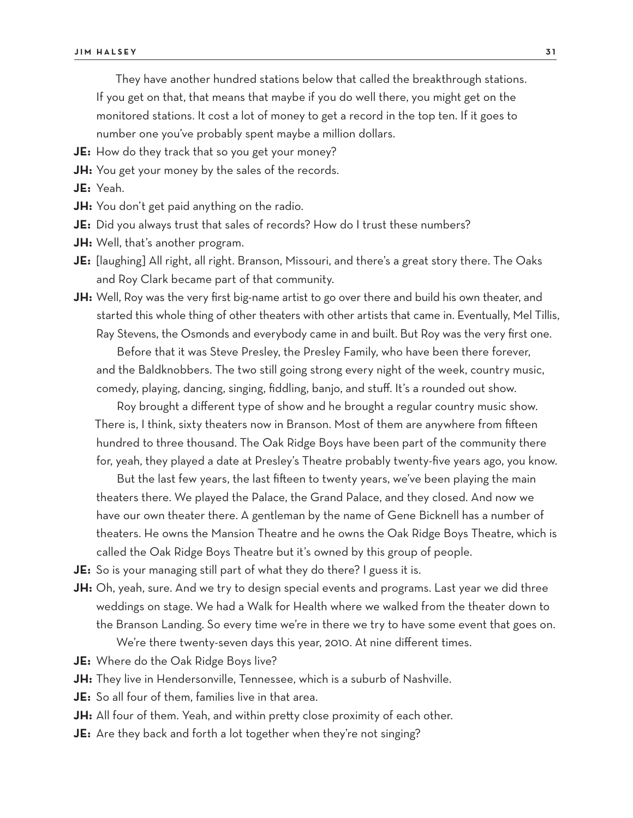They have another hundred stations below that called the breakthrough stations. If you get on that, that means that maybe if you do well there, you might get on the monitored stations. It cost a lot of money to get a record in the top ten. If it goes to number one you've probably spent maybe a million dollars.

- **JE:** How do they track that so you get your money?
- **JH:** You get your money by the sales of the records.
- **JE:** Yeah.
- **JH:** You don't get paid anything on the radio.
- **JE:** Did you always trust that sales of records? How do I trust these numbers?
- **JH:** Well, that's another program.
- **JE:** [laughing] All right, all right. Branson, Missouri, and there's a great story there. The Oaks and Roy Clark became part of that community.
- **JH:** Well, Roy was the very first big-name artist to go over there and build his own theater, and started this whole thing of other theaters with other artists that came in. Eventually, Mel Tillis, Ray Stevens, the Osmonds and everybody came in and built. But Roy was the very first one.

Before that it was Steve Presley, the Presley Family, who have been there forever, and the Baldknobbers. The two still going strong every night of the week, country music, comedy, playing, dancing, singing, fiddling, banjo, and stuff. It's a rounded out show.

Roy brought a different type of show and he brought a regular country music show. There is, I think, sixty theaters now in Branson. Most of them are anywhere from fifteen hundred to three thousand. The Oak Ridge Boys have been part of the community there for, yeah, they played a date at Presley's Theatre probably twenty-five years ago, you know.

But the last few years, the last fifteen to twenty years, we've been playing the main theaters there. We played the Palace, the Grand Palace, and they closed. And now we have our own theater there. A gentleman by the name of Gene Bicknell has a number of theaters. He owns the Mansion Theatre and he owns the Oak Ridge Boys Theatre, which is called the Oak Ridge Boys Theatre but it's owned by this group of people.

**JE:** So is your managing still part of what they do there? I guess it is.

**JH:** Oh, yeah, sure. And we try to design special events and programs. Last year we did three weddings on stage. We had a Walk for Health where we walked from the theater down to the Branson Landing. So every time we're in there we try to have some event that goes on.

We're there twenty-seven days this year, 2010. At nine different times.

- **JE:** Where do the Oak Ridge Boys live?
- **JH:** They live in Hendersonville, Tennessee, which is a suburb of Nashville.
- **JE:** So all four of them, families live in that area.
- **JH:** All four of them. Yeah, and within pretty close proximity of each other.
- **JE:** Are they back and forth a lot together when they're not singing?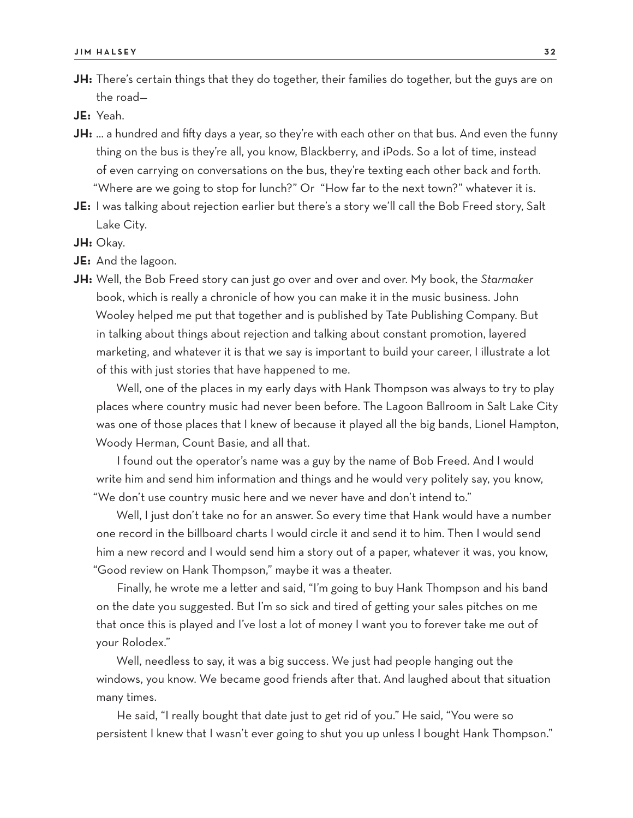**JH:** There's certain things that they do together, their families do together, but the guys are on the road—

**JE:** Yeah.

- **JH:** … a hundred and fifty days a year, so they're with each other on that bus. And even the funny thing on the bus is they're all, you know, Blackberry, and iPods. So a lot of time, instead of even carrying on conversations on the bus, they're texting each other back and forth. "Where are we going to stop for lunch?" Or "How far to the next town?" whatever it is.
- **JE:** I was talking about rejection earlier but there's a story we'll call the Bob Freed story, Salt Lake City.
- **JH:** Okay.
- **JE:** And the lagoon.
- **JH:** Well, the Bob Freed story can just go over and over and over. My book, the *Starmaker* book, which is really a chronicle of how you can make it in the music business. John Wooley helped me put that together and is published by Tate Publishing Company. But in talking about things about rejection and talking about constant promotion, layered marketing, and whatever it is that we say is important to build your career, I illustrate a lot of this with just stories that have happened to me.

Well, one of the places in my early days with Hank Thompson was always to try to play places where country music had never been before. The Lagoon Ballroom in Salt Lake City was one of those places that I knew of because it played all the big bands, Lionel Hampton, Woody Herman, Count Basie, and all that.

I found out the operator's name was a guy by the name of Bob Freed. And I would write him and send him information and things and he would very politely say, you know, "We don't use country music here and we never have and don't intend to."

Well, I just don't take no for an answer. So every time that Hank would have a number one record in the billboard charts I would circle it and send it to him. Then I would send him a new record and I would send him a story out of a paper, whatever it was, you know, "Good review on Hank Thompson," maybe it was a theater.

Finally, he wrote me a letter and said, "I'm going to buy Hank Thompson and his band on the date you suggested. But I'm so sick and tired of getting your sales pitches on me that once this is played and I've lost a lot of money I want you to forever take me out of your Rolodex."

Well, needless to say, it was a big success. We just had people hanging out the windows, you know. We became good friends after that. And laughed about that situation many times.

He said, "I really bought that date just to get rid of you." He said, "You were so persistent I knew that I wasn't ever going to shut you up unless I bought Hank Thompson."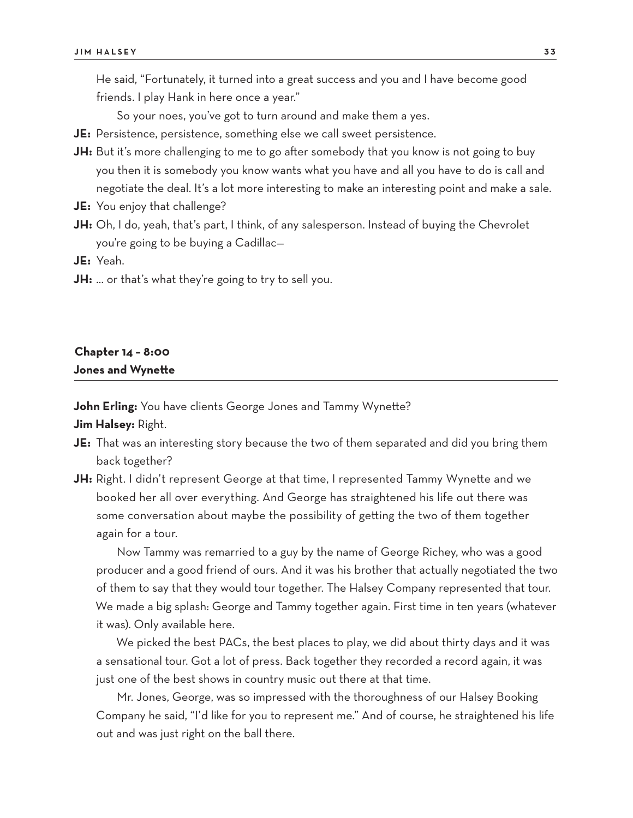He said, "Fortunately, it turned into a great success and you and I have become good friends. I play Hank in here once a year."

So your noes, you've got to turn around and make them a yes.

- **JE:** Persistence, persistence, something else we call sweet persistence.
- **JH:** But it's more challenging to me to go after somebody that you know is not going to buy you then it is somebody you know wants what you have and all you have to do is call and negotiate the deal. It's a lot more interesting to make an interesting point and make a sale.
- **JE:** You enjoy that challenge?
- **JH:** Oh, I do, yeah, that's part, I think, of any salesperson. Instead of buying the Chevrolet you're going to be buying a Cadillac—

**JE:** Yeah.

**JH:** … or that's what they're going to try to sell you.

#### **Chapter 14 – 8:00 Jones and Wynette**

**John Erling:** You have clients George Jones and Tammy Wynette? **Jim Halsey:** Right.

- **JE:** That was an interesting story because the two of them separated and did you bring them back together?
- **JH:** Right. I didn't represent George at that time, I represented Tammy Wynette and we booked her all over everything. And George has straightened his life out there was some conversation about maybe the possibility of getting the two of them together again for a tour.

Now Tammy was remarried to a guy by the name of George Richey, who was a good producer and a good friend of ours. And it was his brother that actually negotiated the two of them to say that they would tour together. The Halsey Company represented that tour. We made a big splash: George and Tammy together again. First time in ten years (whatever it was). Only available here.

We picked the best PACs, the best places to play, we did about thirty days and it was a sensational tour. Got a lot of press. Back together they recorded a record again, it was just one of the best shows in country music out there at that time.

Mr. Jones, George, was so impressed with the thoroughness of our Halsey Booking Company he said, "I'd like for you to represent me." And of course, he straightened his life out and was just right on the ball there.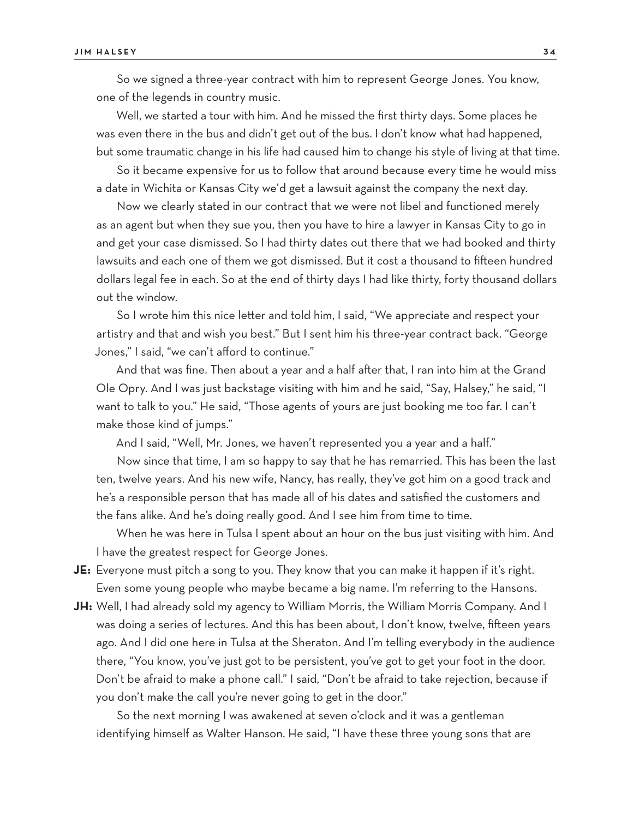So we signed a three-year contract with him to represent George Jones. You know, one of the legends in country music.

Well, we started a tour with him. And he missed the first thirty days. Some places he was even there in the bus and didn't get out of the bus. I don't know what had happened, but some traumatic change in his life had caused him to change his style of living at that time.

So it became expensive for us to follow that around because every time he would miss a date in Wichita or Kansas City we'd get a lawsuit against the company the next day.

Now we clearly stated in our contract that we were not libel and functioned merely as an agent but when they sue you, then you have to hire a lawyer in Kansas City to go in and get your case dismissed. So I had thirty dates out there that we had booked and thirty lawsuits and each one of them we got dismissed. But it cost a thousand to fifteen hundred dollars legal fee in each. So at the end of thirty days I had like thirty, forty thousand dollars out the window.

So I wrote him this nice letter and told him, I said, "We appreciate and respect your artistry and that and wish you best." But I sent him his three-year contract back. "George Jones," I said, "we can't afford to continue."

And that was fine. Then about a year and a half after that, I ran into him at the Grand Ole Opry. And I was just backstage visiting with him and he said, "Say, Halsey," he said, "I want to talk to you." He said, "Those agents of yours are just booking me too far. I can't make those kind of jumps."

And I said, "Well, Mr. Jones, we haven't represented you a year and a half."

Now since that time, I am so happy to say that he has remarried. This has been the last ten, twelve years. And his new wife, Nancy, has really, they've got him on a good track and he's a responsible person that has made all of his dates and satisfied the customers and the fans alike. And he's doing really good. And I see him from time to time.

When he was here in Tulsa I spent about an hour on the bus just visiting with him. And I have the greatest respect for George Jones.

- **JE:** Everyone must pitch a song to you. They know that you can make it happen if it's right. Even some young people who maybe became a big name. I'm referring to the Hansons.
- **JH:** Well, I had already sold my agency to William Morris, the William Morris Company. And I was doing a series of lectures. And this has been about, I don't know, twelve, fifteen years ago. And I did one here in Tulsa at the Sheraton. And I'm telling everybody in the audience there, "You know, you've just got to be persistent, you've got to get your foot in the door. Don't be afraid to make a phone call." I said, "Don't be afraid to take rejection, because if you don't make the call you're never going to get in the door."

So the next morning I was awakened at seven o'clock and it was a gentleman identifying himself as Walter Hanson. He said, "I have these three young sons that are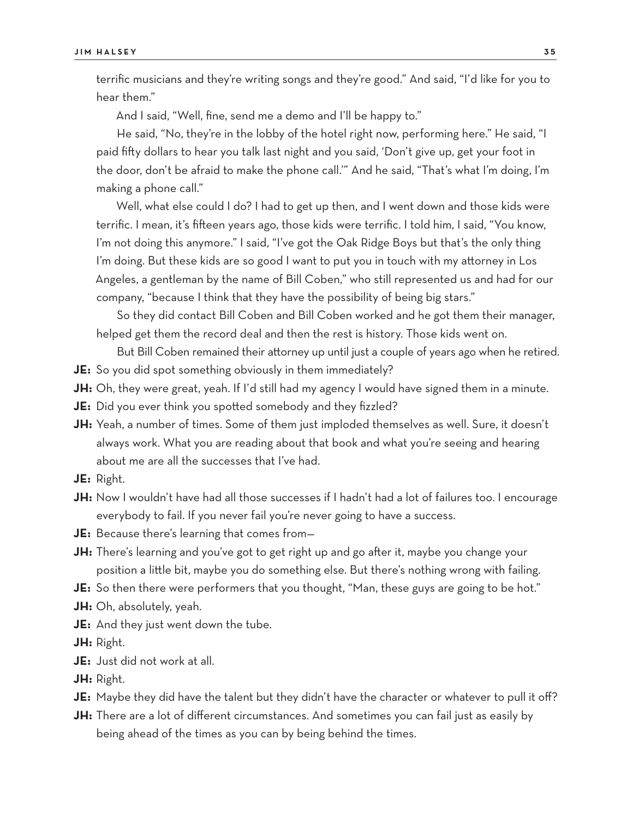terrific musicians and they're writing songs and they're good." And said, "I'd like for you to hear them."

And I said, "Well, fine, send me a demo and I'll be happy to."

He said, "No, they're in the lobby of the hotel right now, performing here." He said, "I paid fifty dollars to hear you talk last night and you said, 'Don't give up, get your foot in the door, don't be afraid to make the phone call.'" And he said, "That's what I'm doing, I'm making a phone call."

Well, what else could I do? I had to get up then, and I went down and those kids were terrific. I mean, it's fifteen years ago, those kids were terrific. I told him, I said, "You know, I'm not doing this anymore." I said, "I've got the Oak Ridge Boys but that's the only thing I'm doing. But these kids are so good I want to put you in touch with my attorney in Los Angeles, a gentleman by the name of Bill Coben," who still represented us and had for our company, "because I think that they have the possibility of being big stars."

So they did contact Bill Coben and Bill Coben worked and he got them their manager, helped get them the record deal and then the rest is history. Those kids went on.

But Bill Coben remained their attorney up until just a couple of years ago when he retired. **JE:** So you did spot something obviously in them immediately?

- **JH:** Oh, they were great, yeah. If I'd still had my agency I would have signed them in a minute.
- **JE:** Did you ever think you spotted somebody and they fizzled?
- **JH:** Yeah, a number of times. Some of them just imploded themselves as well. Sure, it doesn't always work. What you are reading about that book and what you're seeing and hearing about me are all the successes that I've had.
- **JE:** Right.
- **JH:** Now I wouldn't have had all those successes if I hadn't had a lot of failures too. I encourage everybody to fail. If you never fail you're never going to have a success.
- **JE:** Because there's learning that comes from—
- **JH:** There's learning and you've got to get right up and go after it, maybe you change your position a little bit, maybe you do something else. But there's nothing wrong with failing.
- **JE:** So then there were performers that you thought, "Man, these guys are going to be hot."
- **JH:** Oh, absolutely, yeah.
- **JE:** And they just went down the tube.

**JH:** Right.

- **JE:** Just did not work at all.
- **JH:** Right.
- **JE:** Maybe they did have the talent but they didn't have the character or whatever to pull it off?
- **JH:** There are a lot of different circumstances. And sometimes you can fail just as easily by being ahead of the times as you can by being behind the times.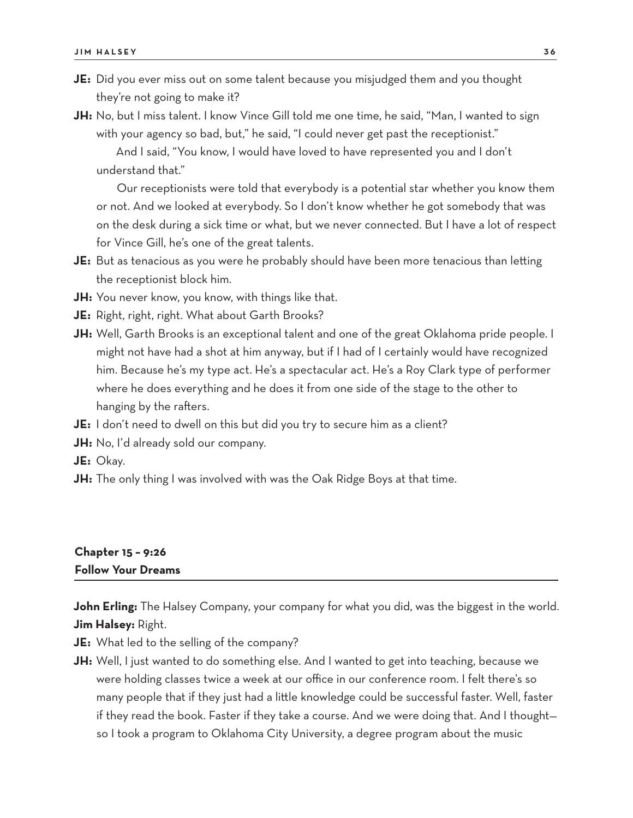- **JE:** Did you ever miss out on some talent because you misjudged them and you thought they're not going to make it?
- **JH:** No, but I miss talent. I know Vince Gill told me one time, he said, "Man, I wanted to sign with your agency so bad, but," he said, "I could never get past the receptionist."

And I said, "You know, I would have loved to have represented you and I don't understand that."

Our receptionists were told that everybody is a potential star whether you know them or not. And we looked at everybody. So I don't know whether he got somebody that was on the desk during a sick time or what, but we never connected. But I have a lot of respect for Vince Gill, he's one of the great talents.

**JE:** But as tenacious as you were he probably should have been more tenacious than letting the receptionist block him.

**JH:** You never know, you know, with things like that.

**JE:** Right, right, right. What about Garth Brooks?

- **JH:** Well, Garth Brooks is an exceptional talent and one of the great Oklahoma pride people. I might not have had a shot at him anyway, but if I had of I certainly would have recognized him. Because he's my type act. He's a spectacular act. He's a Roy Clark type of performer where he does everything and he does it from one side of the stage to the other to hanging by the rafters.
- **JE:** I don't need to dwell on this but did you try to secure him as a client?
- **JH:** No, I'd already sold our company.
- **JE:** Okay.
- **JH:** The only thing I was involved with was the Oak Ridge Boys at that time.

#### **Chapter 15 – 9:26 Follow Your Dreams**

**John Erling:** The Halsey Company, your company for what you did, was the biggest in the world. **Jim Halsey:** Right.

**JE:** What led to the selling of the company?

**JH:** Well, I just wanted to do something else. And I wanted to get into teaching, because we were holding classes twice a week at our office in our conference room. I felt there's so many people that if they just had a little knowledge could be successful faster. Well, faster if they read the book. Faster if they take a course. And we were doing that. And I thought so I took a program to Oklahoma City University, a degree program about the music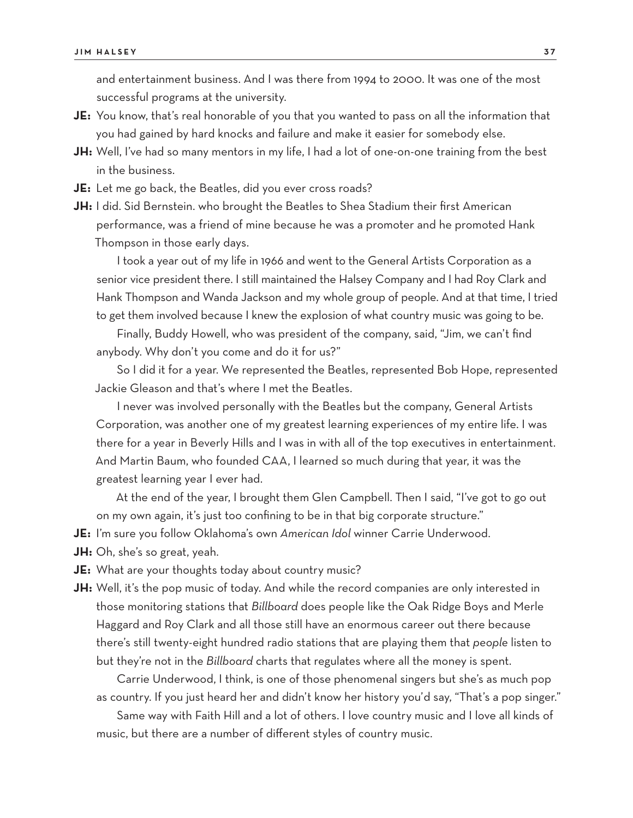and entertainment business. And I was there from 1994 to 2000. It was one of the most successful programs at the university.

- **JE:** You know, that's real honorable of you that you wanted to pass on all the information that you had gained by hard knocks and failure and make it easier for somebody else.
- **JH:** Well, I've had so many mentors in my life, I had a lot of one-on-one training from the best in the business.
- **JE:** Let me go back, the Beatles, did you ever cross roads?
- **JH:** I did. Sid Bernstein. who brought the Beatles to Shea Stadium their first American performance, was a friend of mine because he was a promoter and he promoted Hank Thompson in those early days.

I took a year out of my life in 1966 and went to the General Artists Corporation as a senior vice president there. I still maintained the Halsey Company and I had Roy Clark and Hank Thompson and Wanda Jackson and my whole group of people. And at that time, I tried to get them involved because I knew the explosion of what country music was going to be.

Finally, Buddy Howell, who was president of the company, said, "Jim, we can't find anybody. Why don't you come and do it for us?"

So I did it for a year. We represented the Beatles, represented Bob Hope, represented Jackie Gleason and that's where I met the Beatles.

I never was involved personally with the Beatles but the company, General Artists Corporation, was another one of my greatest learning experiences of my entire life. I was there for a year in Beverly Hills and I was in with all of the top executives in entertainment. And Martin Baum, who founded CAA, I learned so much during that year, it was the greatest learning year I ever had.

At the end of the year, I brought them Glen Campbell. Then I said, "I've got to go out on my own again, it's just too confining to be in that big corporate structure."

- **JE:** I'm sure you follow Oklahoma's own *American Idol* winner Carrie Underwood.
- **JH:** Oh, she's so great, yeah.
- **JE:** What are your thoughts today about country music?
- **JH:** Well, it's the pop music of today. And while the record companies are only interested in those monitoring stations that *Billboard* does people like the Oak Ridge Boys and Merle Haggard and Roy Clark and all those still have an enormous career out there because there's still twenty-eight hundred radio stations that are playing them that *people* listen to but they're not in the *Billboard* charts that regulates where all the money is spent.

Carrie Underwood, I think, is one of those phenomenal singers but she's as much pop as country. If you just heard her and didn't know her history you'd say, "That's a pop singer."

Same way with Faith Hill and a lot of others. I love country music and I love all kinds of music, but there are a number of different styles of country music.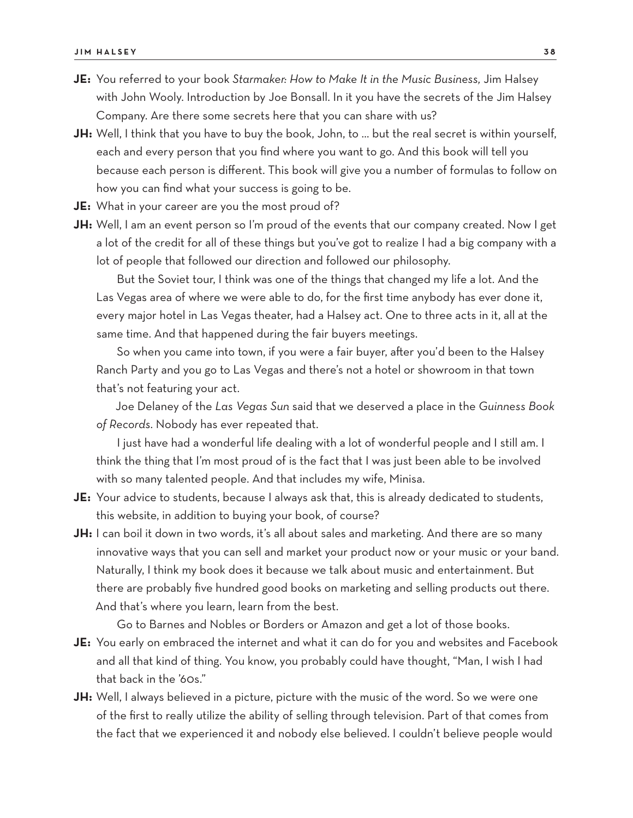- **JE:** You referred to your book *Starmaker: How to Make It in the Music Business,* Jim Halsey with John Wooly. Introduction by Joe Bonsall. In it you have the secrets of the Jim Halsey Company. Are there some secrets here that you can share with us?
- **JH:** Well, I think that you have to buy the book, John, to … but the real secret is within yourself, each and every person that you find where you want to go. And this book will tell you because each person is different. This book will give you a number of formulas to follow on how you can find what your success is going to be.
- **JE:** What in your career are you the most proud of?
- **JH:** Well, I am an event person so I'm proud of the events that our company created. Now I get a lot of the credit for all of these things but you've got to realize I had a big company with a lot of people that followed our direction and followed our philosophy.

But the Soviet tour, I think was one of the things that changed my life a lot. And the Las Vegas area of where we were able to do, for the first time anybody has ever done it, every major hotel in Las Vegas theater, had a Halsey act. One to three acts in it, all at the same time. And that happened during the fair buyers meetings.

So when you came into town, if you were a fair buyer, after you'd been to the Halsey Ranch Party and you go to Las Vegas and there's not a hotel or showroom in that town that's not featuring your act.

Joe Delaney of the *Las Vegas Sun* said that we deserved a place in the *Guinness Book of Records*. Nobody has ever repeated that.

I just have had a wonderful life dealing with a lot of wonderful people and I still am. I think the thing that I'm most proud of is the fact that I was just been able to be involved with so many talented people. And that includes my wife, Minisa.

- **JE:** Your advice to students, because I always ask that, this is already dedicated to students, this website, in addition to buying your book, of course?
- **JH:** I can boil it down in two words, it's all about sales and marketing. And there are so many innovative ways that you can sell and market your product now or your music or your band. Naturally, I think my book does it because we talk about music and entertainment. But there are probably five hundred good books on marketing and selling products out there. And that's where you learn, learn from the best.

Go to Barnes and Nobles or Borders or Amazon and get a lot of those books.

- **JE:** You early on embraced the internet and what it can do for you and websites and Facebook and all that kind of thing. You know, you probably could have thought, "Man, I wish I had that back in the '60s."
- **JH:** Well, I always believed in a picture, picture with the music of the word. So we were one of the first to really utilize the ability of selling through television. Part of that comes from the fact that we experienced it and nobody else believed. I couldn't believe people would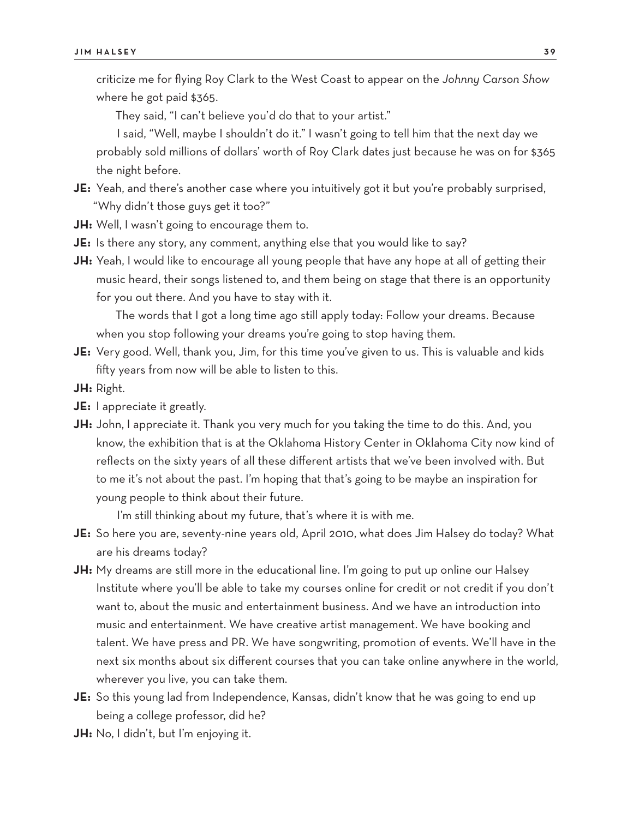criticize me for flying Roy Clark to the West Coast to appear on the *Johnny Carson Show* where he got paid \$365.

They said, "I can't believe you'd do that to your artist."

I said, "Well, maybe I shouldn't do it." I wasn't going to tell him that the next day we probably sold millions of dollars' worth of Roy Clark dates just because he was on for \$365 the night before.

- **JE:** Yeah, and there's another case where you intuitively got it but you're probably surprised, "Why didn't those guys get it too?"
- **JH:** Well, I wasn't going to encourage them to.
- **JE:** Is there any story, any comment, anything else that you would like to say?
- **JH:** Yeah, I would like to encourage all young people that have any hope at all of getting their music heard, their songs listened to, and them being on stage that there is an opportunity for you out there. And you have to stay with it.

The words that I got a long time ago still apply today: Follow your dreams. Because when you stop following your dreams you're going to stop having them.

- **JE:** Very good. Well, thank you, Jim, for this time you've given to us. This is valuable and kids fifty years from now will be able to listen to this.
- **JH:** Right.
- **JE:** I appreciate it greatly.
- **JH:** John, I appreciate it. Thank you very much for you taking the time to do this. And, you know, the exhibition that is at the Oklahoma History Center in Oklahoma City now kind of reflects on the sixty years of all these different artists that we've been involved with. But to me it's not about the past. I'm hoping that that's going to be maybe an inspiration for young people to think about their future.

I'm still thinking about my future, that's where it is with me.

- **JE:** So here you are, seventy-nine years old, April 2010, what does Jim Halsey do today? What are his dreams today?
- **JH:** My dreams are still more in the educational line. I'm going to put up online our Halsey Institute where you'll be able to take my courses online for credit or not credit if you don't want to, about the music and entertainment business. And we have an introduction into music and entertainment. We have creative artist management. We have booking and talent. We have press and PR. We have songwriting, promotion of events. We'll have in the next six months about six different courses that you can take online anywhere in the world, wherever you live, you can take them.
- **JE:** So this young lad from Independence, Kansas, didn't know that he was going to end up being a college professor, did he?
- **JH:** No, I didn't, but I'm enjoying it.